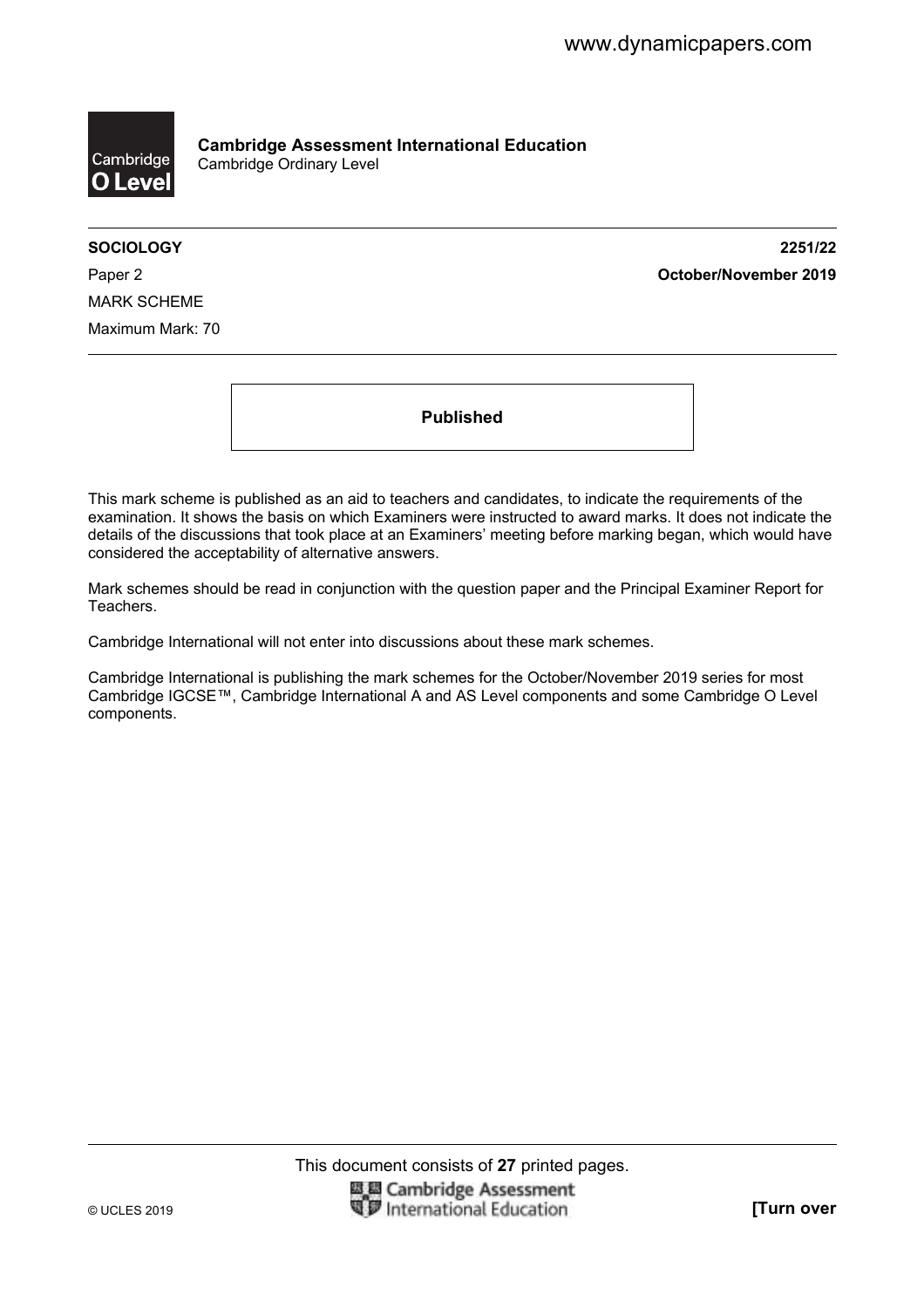

**Cambridge Assessment International Education**  Cambridge Ordinary Level

**SOCIOLOGY 2251/22**  Paper 2 **October/November 2019**

MARK SCHEME Maximum Mark: 70

**Published** 

This mark scheme is published as an aid to teachers and candidates, to indicate the requirements of the examination. It shows the basis on which Examiners were instructed to award marks. It does not indicate the details of the discussions that took place at an Examiners' meeting before marking began, which would have considered the acceptability of alternative answers.

Mark schemes should be read in conjunction with the question paper and the Principal Examiner Report for Teachers.

Cambridge International will not enter into discussions about these mark schemes.

Cambridge International is publishing the mark schemes for the October/November 2019 series for most Cambridge IGCSE™, Cambridge International A and AS Level components and some Cambridge O Level components.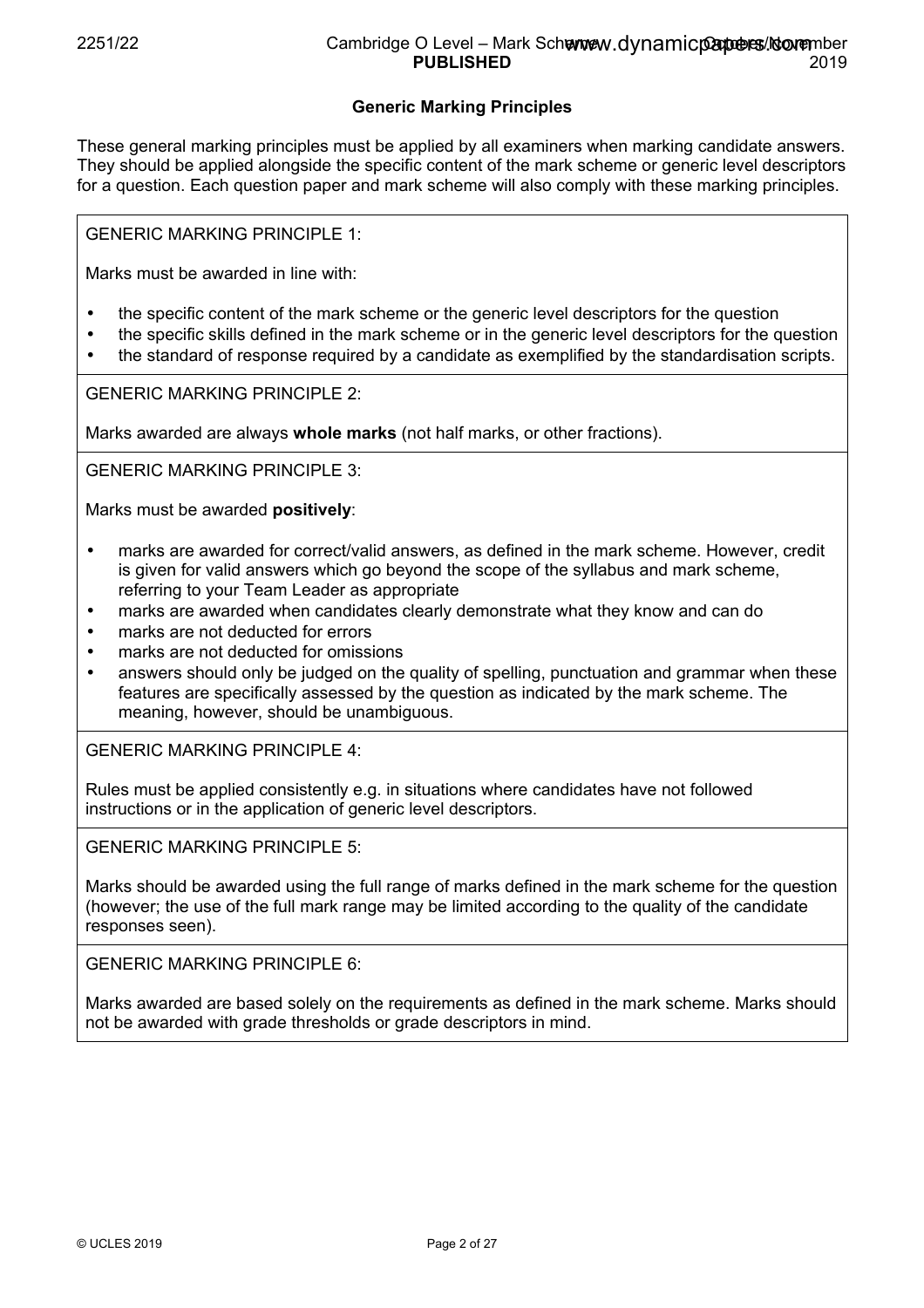## **Generic Marking Principles**

These general marking principles must be applied by all examiners when marking candidate answers. They should be applied alongside the specific content of the mark scheme or generic level descriptors for a question. Each question paper and mark scheme will also comply with these marking principles.

GENERIC MARKING PRINCIPLE 1:

Marks must be awarded in line with:

- the specific content of the mark scheme or the generic level descriptors for the question
- the specific skills defined in the mark scheme or in the generic level descriptors for the question
- the standard of response required by a candidate as exemplified by the standardisation scripts.

GENERIC MARKING PRINCIPLE 2:

Marks awarded are always **whole marks** (not half marks, or other fractions).

GENERIC MARKING PRINCIPLE 3:

Marks must be awarded **positively**:

- marks are awarded for correct/valid answers, as defined in the mark scheme. However, credit is given for valid answers which go beyond the scope of the syllabus and mark scheme, referring to your Team Leader as appropriate
- marks are awarded when candidates clearly demonstrate what they know and can do
- marks are not deducted for errors
- marks are not deducted for omissions
- answers should only be judged on the quality of spelling, punctuation and grammar when these features are specifically assessed by the question as indicated by the mark scheme. The meaning, however, should be unambiguous.

GENERIC MARKING PRINCIPLE 4:

Rules must be applied consistently e.g. in situations where candidates have not followed instructions or in the application of generic level descriptors.

GENERIC MARKING PRINCIPLE 5:

Marks should be awarded using the full range of marks defined in the mark scheme for the question (however; the use of the full mark range may be limited according to the quality of the candidate responses seen).

GENERIC MARKING PRINCIPLE 6:

Marks awarded are based solely on the requirements as defined in the mark scheme. Marks should not be awarded with grade thresholds or grade descriptors in mind.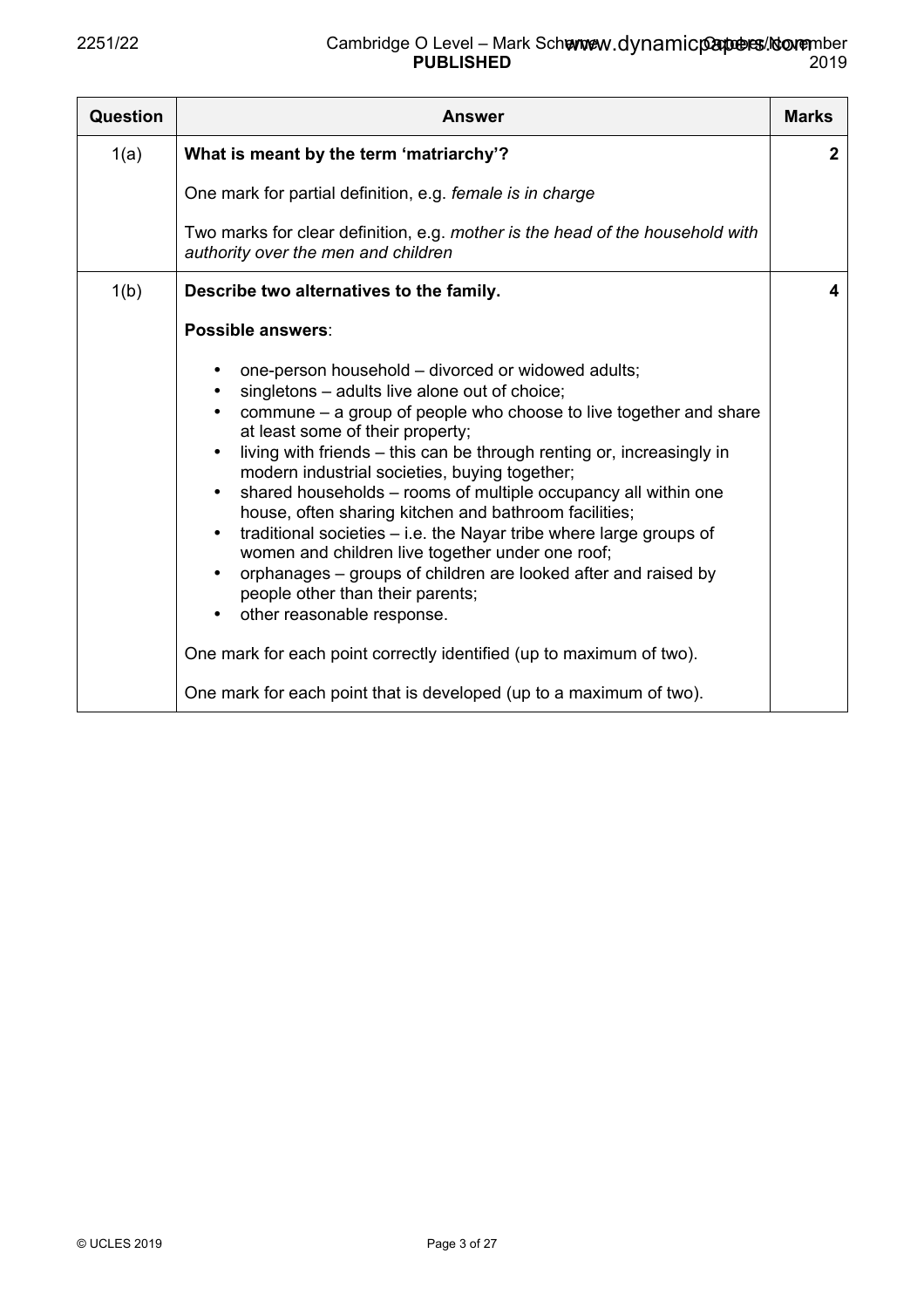| <b>Question</b> | Answer                                                                                                                                                                                                                                                                                                                                                                                                                                                                                                                                                                                                                                                                                                                   | <b>Marks</b> |
|-----------------|--------------------------------------------------------------------------------------------------------------------------------------------------------------------------------------------------------------------------------------------------------------------------------------------------------------------------------------------------------------------------------------------------------------------------------------------------------------------------------------------------------------------------------------------------------------------------------------------------------------------------------------------------------------------------------------------------------------------------|--------------|
| 1(a)            | What is meant by the term 'matriarchy'?                                                                                                                                                                                                                                                                                                                                                                                                                                                                                                                                                                                                                                                                                  | $\mathbf{2}$ |
|                 | One mark for partial definition, e.g. female is in charge                                                                                                                                                                                                                                                                                                                                                                                                                                                                                                                                                                                                                                                                |              |
|                 | Two marks for clear definition, e.g. mother is the head of the household with<br>authority over the men and children                                                                                                                                                                                                                                                                                                                                                                                                                                                                                                                                                                                                     |              |
| 1(b)            | Describe two alternatives to the family.                                                                                                                                                                                                                                                                                                                                                                                                                                                                                                                                                                                                                                                                                 | 4            |
|                 | Possible answers:<br>one-person household – divorced or widowed adults;<br>singletons – adults live alone out of choice;<br>commune – a group of people who choose to live together and share<br>at least some of their property;<br>living with friends – this can be through renting or, increasingly in<br>modern industrial societies, buying together;<br>shared households - rooms of multiple occupancy all within one<br>house, often sharing kitchen and bathroom facilities;<br>traditional societies $-$ i.e. the Nayar tribe where large groups of<br>women and children live together under one roof;<br>orphanages – groups of children are looked after and raised by<br>people other than their parents; |              |
|                 | other reasonable response.<br>One mark for each point correctly identified (up to maximum of two).<br>One mark for each point that is developed (up to a maximum of two).                                                                                                                                                                                                                                                                                                                                                                                                                                                                                                                                                |              |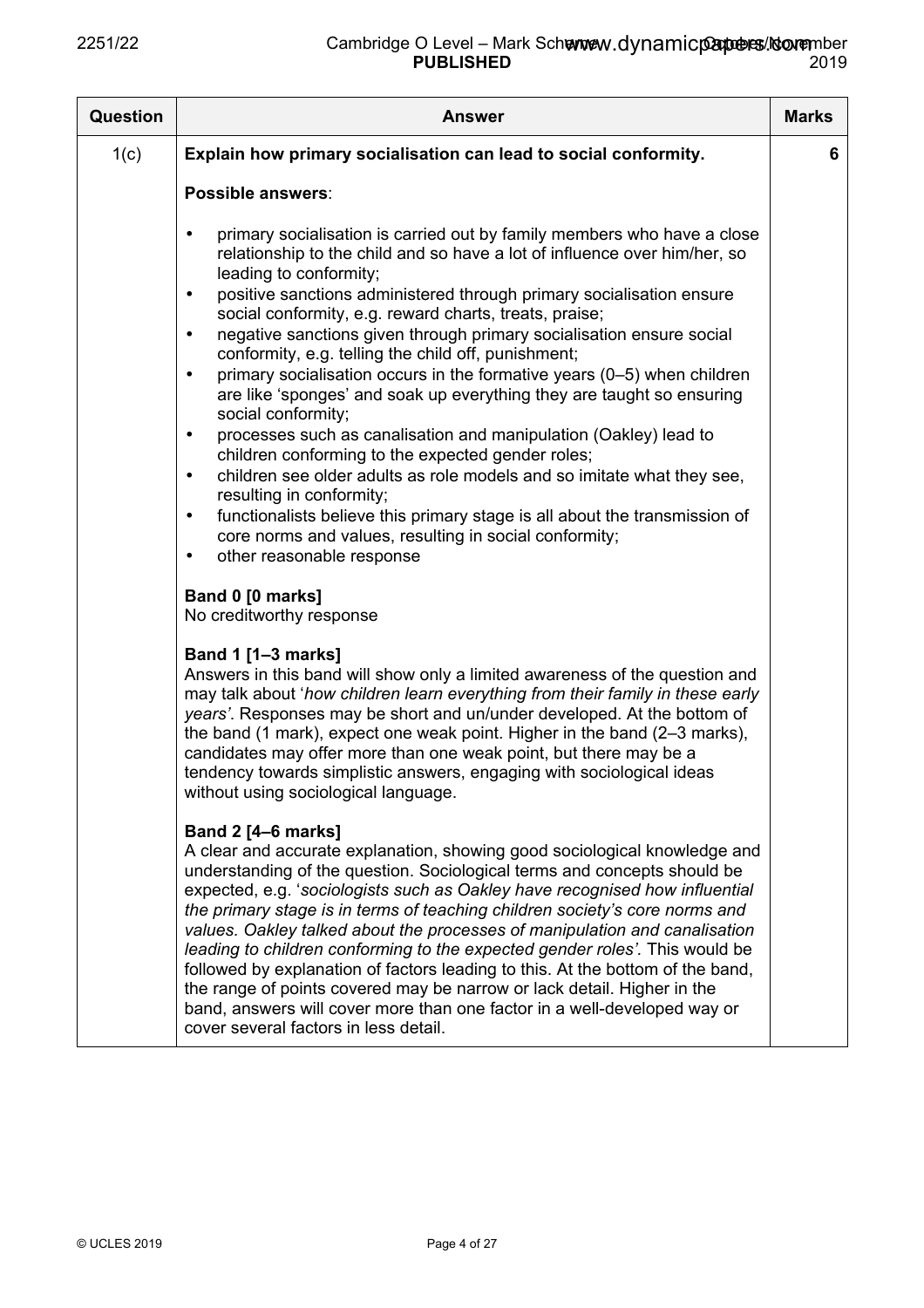| <b>Question</b> | <b>Answer</b>                                                                                                                                                                                                                                                                                                                                                                                                                                                                                                                                                                                                                                                                                                                                                                                                                                                                                                                                                                                                                                                                                                                         | <b>Marks</b> |
|-----------------|---------------------------------------------------------------------------------------------------------------------------------------------------------------------------------------------------------------------------------------------------------------------------------------------------------------------------------------------------------------------------------------------------------------------------------------------------------------------------------------------------------------------------------------------------------------------------------------------------------------------------------------------------------------------------------------------------------------------------------------------------------------------------------------------------------------------------------------------------------------------------------------------------------------------------------------------------------------------------------------------------------------------------------------------------------------------------------------------------------------------------------------|--------------|
| 1(c)            | Explain how primary socialisation can lead to social conformity.                                                                                                                                                                                                                                                                                                                                                                                                                                                                                                                                                                                                                                                                                                                                                                                                                                                                                                                                                                                                                                                                      | 6            |
|                 | Possible answers:                                                                                                                                                                                                                                                                                                                                                                                                                                                                                                                                                                                                                                                                                                                                                                                                                                                                                                                                                                                                                                                                                                                     |              |
|                 | primary socialisation is carried out by family members who have a close<br>$\bullet$<br>relationship to the child and so have a lot of influence over him/her, so<br>leading to conformity;<br>positive sanctions administered through primary socialisation ensure<br>$\bullet$<br>social conformity, e.g. reward charts, treats, praise;<br>negative sanctions given through primary socialisation ensure social<br>$\bullet$<br>conformity, e.g. telling the child off, punishment;<br>primary socialisation occurs in the formative years (0-5) when children<br>$\bullet$<br>are like 'sponges' and soak up everything they are taught so ensuring<br>social conformity;<br>processes such as canalisation and manipulation (Oakley) lead to<br>$\bullet$<br>children conforming to the expected gender roles;<br>children see older adults as role models and so imitate what they see,<br>$\bullet$<br>resulting in conformity;<br>functionalists believe this primary stage is all about the transmission of<br>$\bullet$<br>core norms and values, resulting in social conformity;<br>other reasonable response<br>$\bullet$ |              |
|                 | Band 0 [0 marks]                                                                                                                                                                                                                                                                                                                                                                                                                                                                                                                                                                                                                                                                                                                                                                                                                                                                                                                                                                                                                                                                                                                      |              |
|                 | No creditworthy response<br>Band 1 [1-3 marks]<br>Answers in this band will show only a limited awareness of the question and<br>may talk about 'how children learn everything from their family in these early<br>years'. Responses may be short and un/under developed. At the bottom of<br>the band (1 mark), expect one weak point. Higher in the band (2–3 marks),<br>candidates may offer more than one weak point, but there may be a<br>tendency towards simplistic answers, engaging with sociological ideas<br>without using sociological language.                                                                                                                                                                                                                                                                                                                                                                                                                                                                                                                                                                         |              |
|                 | <b>Band 2 [4-6 marks]</b><br>A clear and accurate explanation, showing good sociological knowledge and<br>understanding of the question. Sociological terms and concepts should be<br>expected, e.g. 'sociologists such as Oakley have recognised how influential<br>the primary stage is in terms of teaching children society's core norms and<br>values. Oakley talked about the processes of manipulation and canalisation<br>leading to children conforming to the expected gender roles'. This would be<br>followed by explanation of factors leading to this. At the bottom of the band,<br>the range of points covered may be narrow or lack detail. Higher in the<br>band, answers will cover more than one factor in a well-developed way or<br>cover several factors in less detail.                                                                                                                                                                                                                                                                                                                                       |              |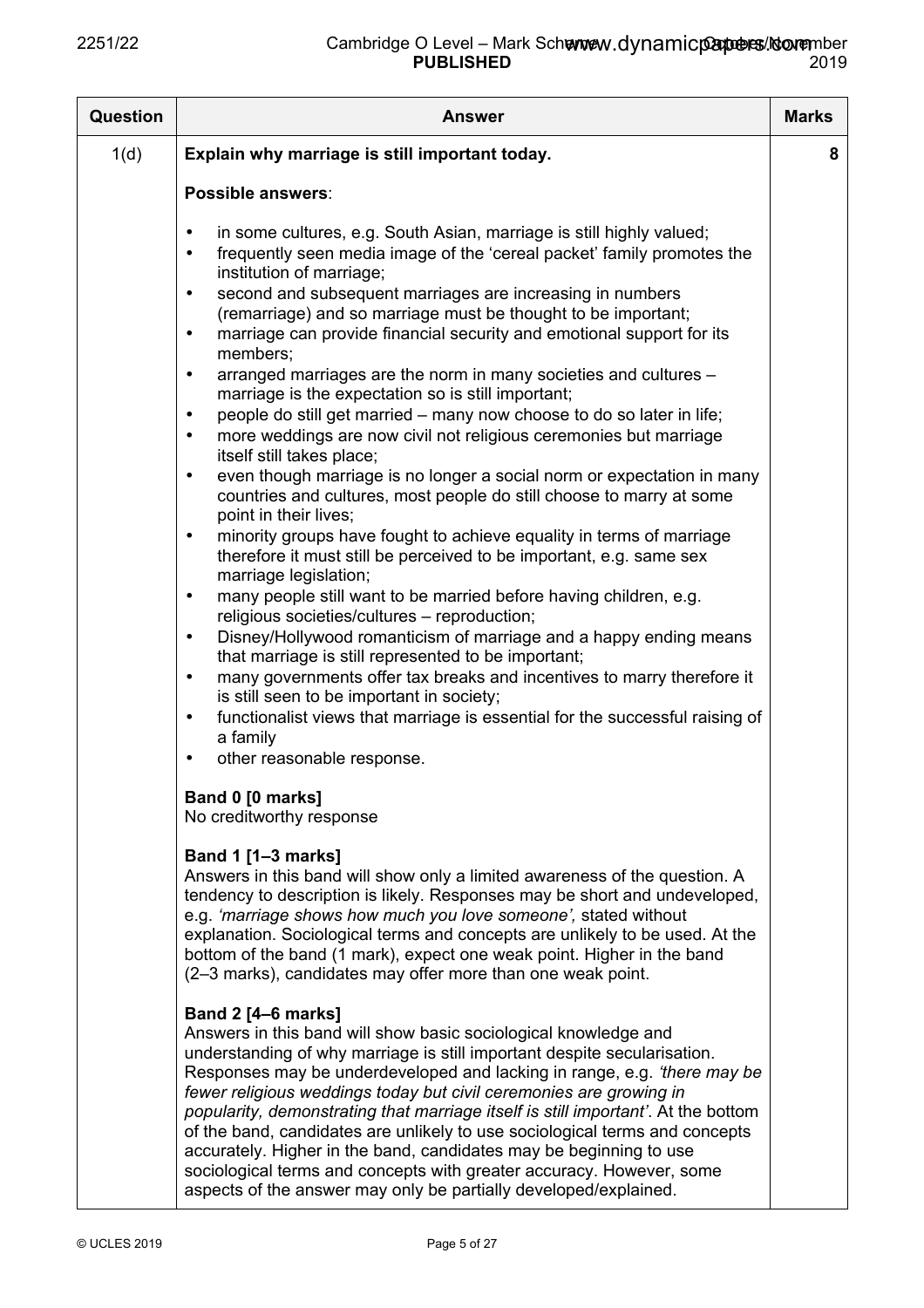| Question | <b>Answer</b>                                                                                                                                                                                                                                                                                                                                                                                                                                                                                                                                                                                                                                                                                                                                                                                                                                                                                                                                                                                                                                                                                                                                                                     | <b>Marks</b> |
|----------|-----------------------------------------------------------------------------------------------------------------------------------------------------------------------------------------------------------------------------------------------------------------------------------------------------------------------------------------------------------------------------------------------------------------------------------------------------------------------------------------------------------------------------------------------------------------------------------------------------------------------------------------------------------------------------------------------------------------------------------------------------------------------------------------------------------------------------------------------------------------------------------------------------------------------------------------------------------------------------------------------------------------------------------------------------------------------------------------------------------------------------------------------------------------------------------|--------------|
| 1(d)     | Explain why marriage is still important today.                                                                                                                                                                                                                                                                                                                                                                                                                                                                                                                                                                                                                                                                                                                                                                                                                                                                                                                                                                                                                                                                                                                                    | 8            |
|          | Possible answers:<br>in some cultures, e.g. South Asian, marriage is still highly valued;<br>$\bullet$<br>frequently seen media image of the 'cereal packet' family promotes the<br>$\bullet$<br>institution of marriage;<br>second and subsequent marriages are increasing in numbers<br>$\bullet$<br>(remarriage) and so marriage must be thought to be important;<br>marriage can provide financial security and emotional support for its<br>$\bullet$<br>members;<br>arranged marriages are the norm in many societies and cultures -<br>$\bullet$<br>marriage is the expectation so is still important;<br>people do still get married – many now choose to do so later in life;<br>$\bullet$                                                                                                                                                                                                                                                                                                                                                                                                                                                                               |              |
|          | more weddings are now civil not religious ceremonies but marriage<br>$\bullet$<br>itself still takes place;<br>even though marriage is no longer a social norm or expectation in many<br>$\bullet$<br>countries and cultures, most people do still choose to marry at some<br>point in their lives;<br>minority groups have fought to achieve equality in terms of marriage<br>$\bullet$<br>therefore it must still be perceived to be important, e.g. same sex<br>marriage legislation;<br>many people still want to be married before having children, e.g.<br>$\bullet$<br>religious societies/cultures - reproduction;<br>Disney/Hollywood romanticism of marriage and a happy ending means<br>$\bullet$<br>that marriage is still represented to be important;<br>many governments offer tax breaks and incentives to marry therefore it<br>$\bullet$<br>is still seen to be important in society;<br>functionalist views that marriage is essential for the successful raising of<br>$\bullet$<br>a family<br>other reasonable response.<br>٠                                                                                                                               |              |
|          | Band 0 [0 marks]<br>No creditworthy response<br><b>Band 1 [1-3 marks]</b><br>Answers in this band will show only a limited awareness of the question. A<br>tendency to description is likely. Responses may be short and undeveloped,<br>e.g. 'marriage shows how much you love someone', stated without<br>explanation. Sociological terms and concepts are unlikely to be used. At the<br>bottom of the band (1 mark), expect one weak point. Higher in the band<br>(2-3 marks), candidates may offer more than one weak point.<br><b>Band 2 [4-6 marks]</b><br>Answers in this band will show basic sociological knowledge and<br>understanding of why marriage is still important despite secularisation.<br>Responses may be underdeveloped and lacking in range, e.g. 'there may be<br>fewer religious weddings today but civil ceremonies are growing in<br>popularity, demonstrating that marriage itself is still important'. At the bottom<br>of the band, candidates are unlikely to use sociological terms and concepts<br>accurately. Higher in the band, candidates may be beginning to use<br>sociological terms and concepts with greater accuracy. However, some |              |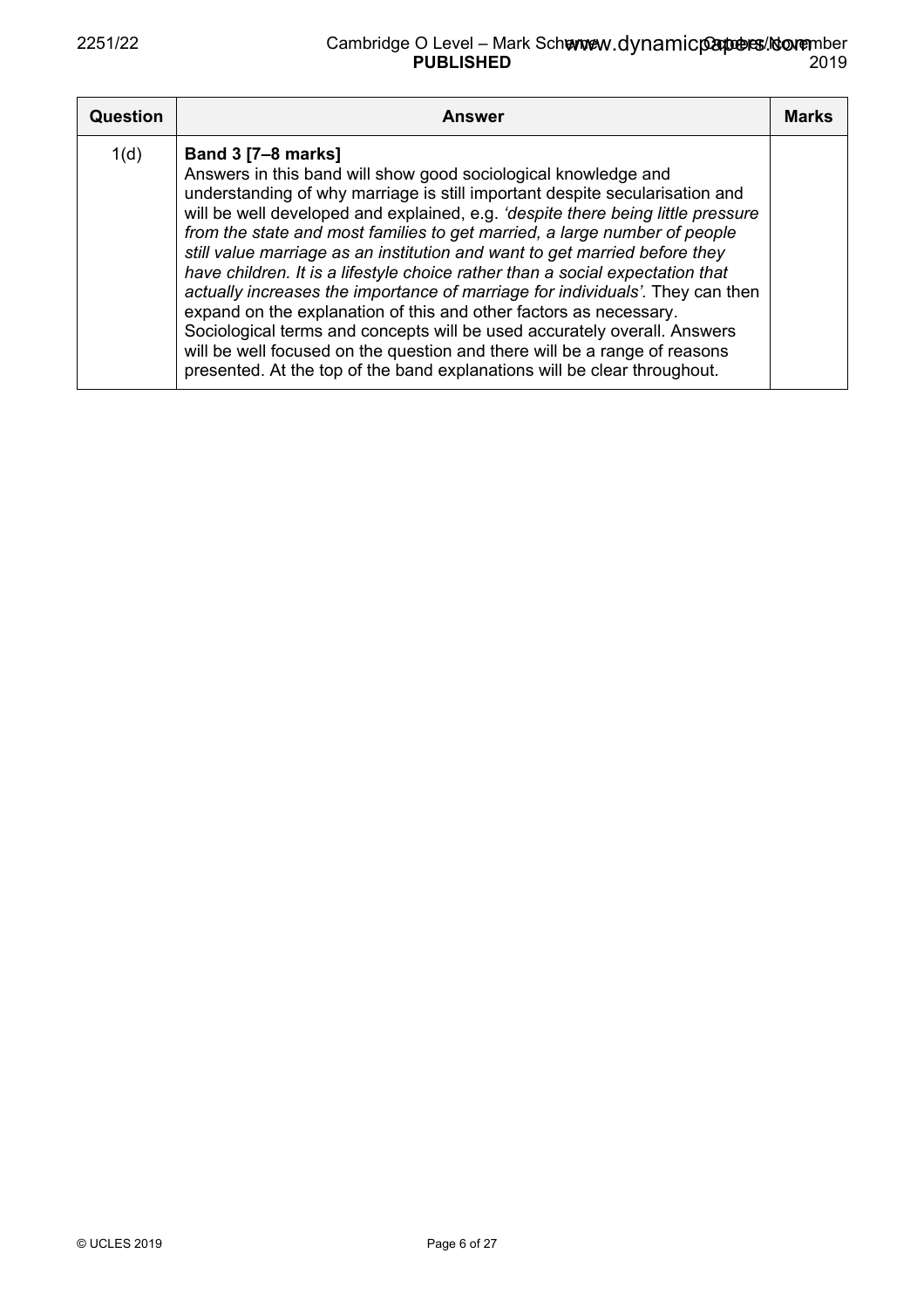| <b>Question</b> | <b>Answer</b>                                                                                                                                                                                                                                                                                                                                                                                                                                                                                                                                                                                                                                                                                                                                                                                                                                                                                        | <b>Marks</b> |
|-----------------|------------------------------------------------------------------------------------------------------------------------------------------------------------------------------------------------------------------------------------------------------------------------------------------------------------------------------------------------------------------------------------------------------------------------------------------------------------------------------------------------------------------------------------------------------------------------------------------------------------------------------------------------------------------------------------------------------------------------------------------------------------------------------------------------------------------------------------------------------------------------------------------------------|--------------|
| 1(d)            | <b>Band 3 [7-8 marks]</b><br>Answers in this band will show good sociological knowledge and<br>understanding of why marriage is still important despite secularisation and<br>will be well developed and explained, e.g. 'despite there being little pressure<br>from the state and most families to get married, a large number of people<br>still value marriage as an institution and want to get married before they<br>have children. It is a lifestyle choice rather than a social expectation that<br>actually increases the importance of marriage for individuals'. They can then<br>expand on the explanation of this and other factors as necessary.<br>Sociological terms and concepts will be used accurately overall. Answers<br>will be well focused on the question and there will be a range of reasons<br>presented. At the top of the band explanations will be clear throughout. |              |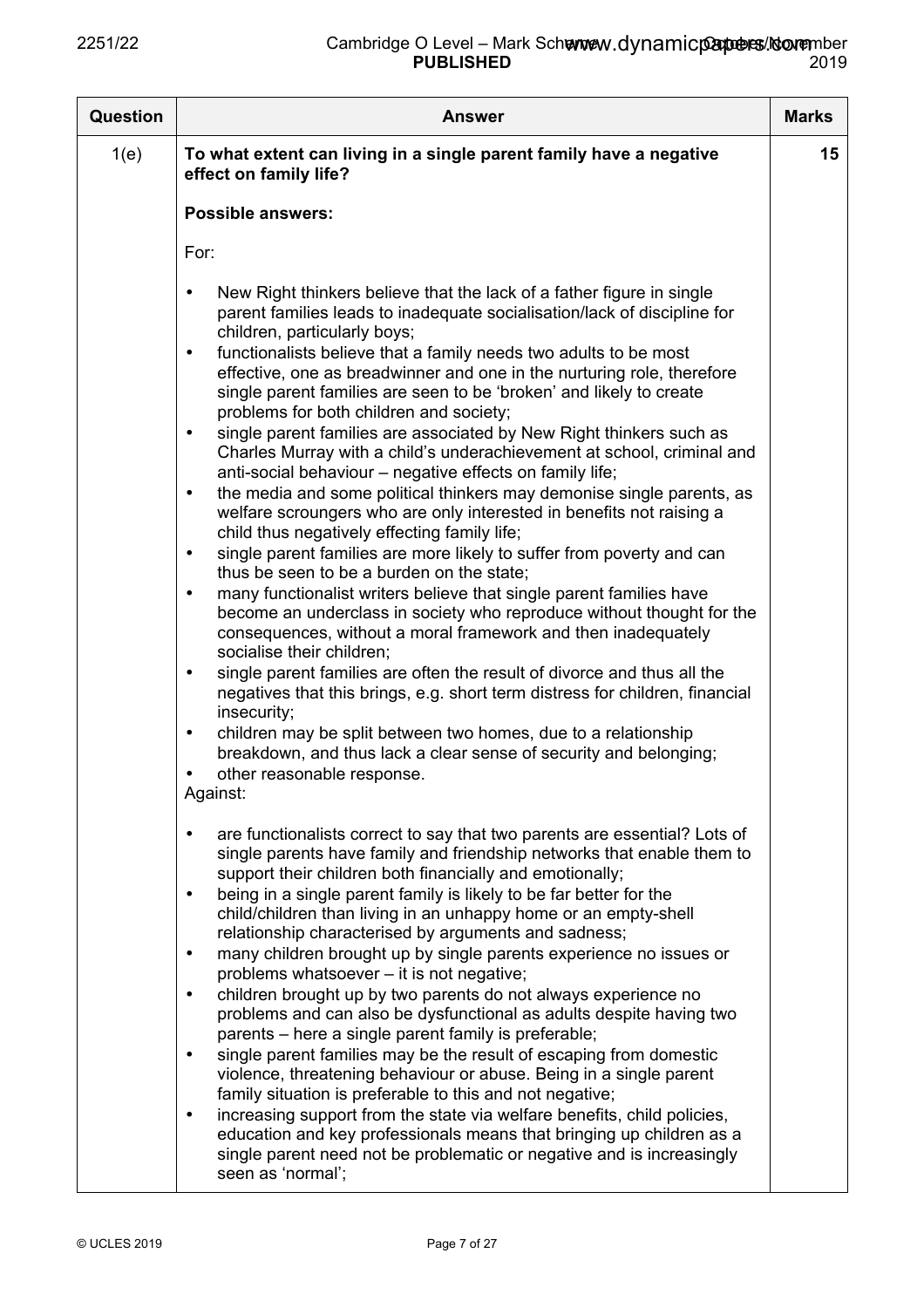| <b>Question</b> | <b>Answer</b>                                                                                                                                                                                                                                                                                                                                                                                                                                                                                                                                                                                                                                                                                                                                                                                                                                                                                                                                                                                                                                                                                                                                                                                                                                                                                                                                                                                                                                                                                                                                                                                                                                                                                          | <b>Marks</b> |
|-----------------|--------------------------------------------------------------------------------------------------------------------------------------------------------------------------------------------------------------------------------------------------------------------------------------------------------------------------------------------------------------------------------------------------------------------------------------------------------------------------------------------------------------------------------------------------------------------------------------------------------------------------------------------------------------------------------------------------------------------------------------------------------------------------------------------------------------------------------------------------------------------------------------------------------------------------------------------------------------------------------------------------------------------------------------------------------------------------------------------------------------------------------------------------------------------------------------------------------------------------------------------------------------------------------------------------------------------------------------------------------------------------------------------------------------------------------------------------------------------------------------------------------------------------------------------------------------------------------------------------------------------------------------------------------------------------------------------------------|--------------|
| 1(e)            | To what extent can living in a single parent family have a negative<br>effect on family life?                                                                                                                                                                                                                                                                                                                                                                                                                                                                                                                                                                                                                                                                                                                                                                                                                                                                                                                                                                                                                                                                                                                                                                                                                                                                                                                                                                                                                                                                                                                                                                                                          | 15           |
|                 | <b>Possible answers:</b>                                                                                                                                                                                                                                                                                                                                                                                                                                                                                                                                                                                                                                                                                                                                                                                                                                                                                                                                                                                                                                                                                                                                                                                                                                                                                                                                                                                                                                                                                                                                                                                                                                                                               |              |
|                 | For:                                                                                                                                                                                                                                                                                                                                                                                                                                                                                                                                                                                                                                                                                                                                                                                                                                                                                                                                                                                                                                                                                                                                                                                                                                                                                                                                                                                                                                                                                                                                                                                                                                                                                                   |              |
|                 | New Right thinkers believe that the lack of a father figure in single<br>parent families leads to inadequate socialisation/lack of discipline for<br>children, particularly boys;<br>functionalists believe that a family needs two adults to be most<br>$\bullet$<br>effective, one as breadwinner and one in the nurturing role, therefore<br>single parent families are seen to be 'broken' and likely to create<br>problems for both children and society;<br>single parent families are associated by New Right thinkers such as<br>$\bullet$<br>Charles Murray with a child's underachievement at school, criminal and<br>anti-social behaviour - negative effects on family life;<br>the media and some political thinkers may demonise single parents, as<br>$\bullet$<br>welfare scroungers who are only interested in benefits not raising a<br>child thus negatively effecting family life;<br>single parent families are more likely to suffer from poverty and can<br>$\bullet$<br>thus be seen to be a burden on the state;<br>many functionalist writers believe that single parent families have<br>$\bullet$<br>become an underclass in society who reproduce without thought for the<br>consequences, without a moral framework and then inadequately<br>socialise their children;<br>single parent families are often the result of divorce and thus all the<br>$\bullet$<br>negatives that this brings, e.g. short term distress for children, financial<br>insecurity;<br>children may be split between two homes, due to a relationship<br>$\bullet$<br>breakdown, and thus lack a clear sense of security and belonging;<br>other reasonable response.<br>$\bullet$<br>Against: |              |
|                 | are functionalists correct to say that two parents are essential? Lots of<br>$\bullet$<br>single parents have family and friendship networks that enable them to<br>support their children both financially and emotionally;<br>being in a single parent family is likely to be far better for the<br>child/children than living in an unhappy home or an empty-shell<br>relationship characterised by arguments and sadness;<br>many children brought up by single parents experience no issues or<br>$\bullet$<br>problems whatsoever - it is not negative;<br>children brought up by two parents do not always experience no<br>$\bullet$<br>problems and can also be dysfunctional as adults despite having two<br>parents - here a single parent family is preferable;<br>single parent families may be the result of escaping from domestic<br>$\bullet$<br>violence, threatening behaviour or abuse. Being in a single parent<br>family situation is preferable to this and not negative;<br>increasing support from the state via welfare benefits, child policies,<br>$\bullet$<br>education and key professionals means that bringing up children as a<br>single parent need not be problematic or negative and is increasingly<br>seen as 'normal';                                                                                                                                                                                                                                                                                                                                                                                                                                         |              |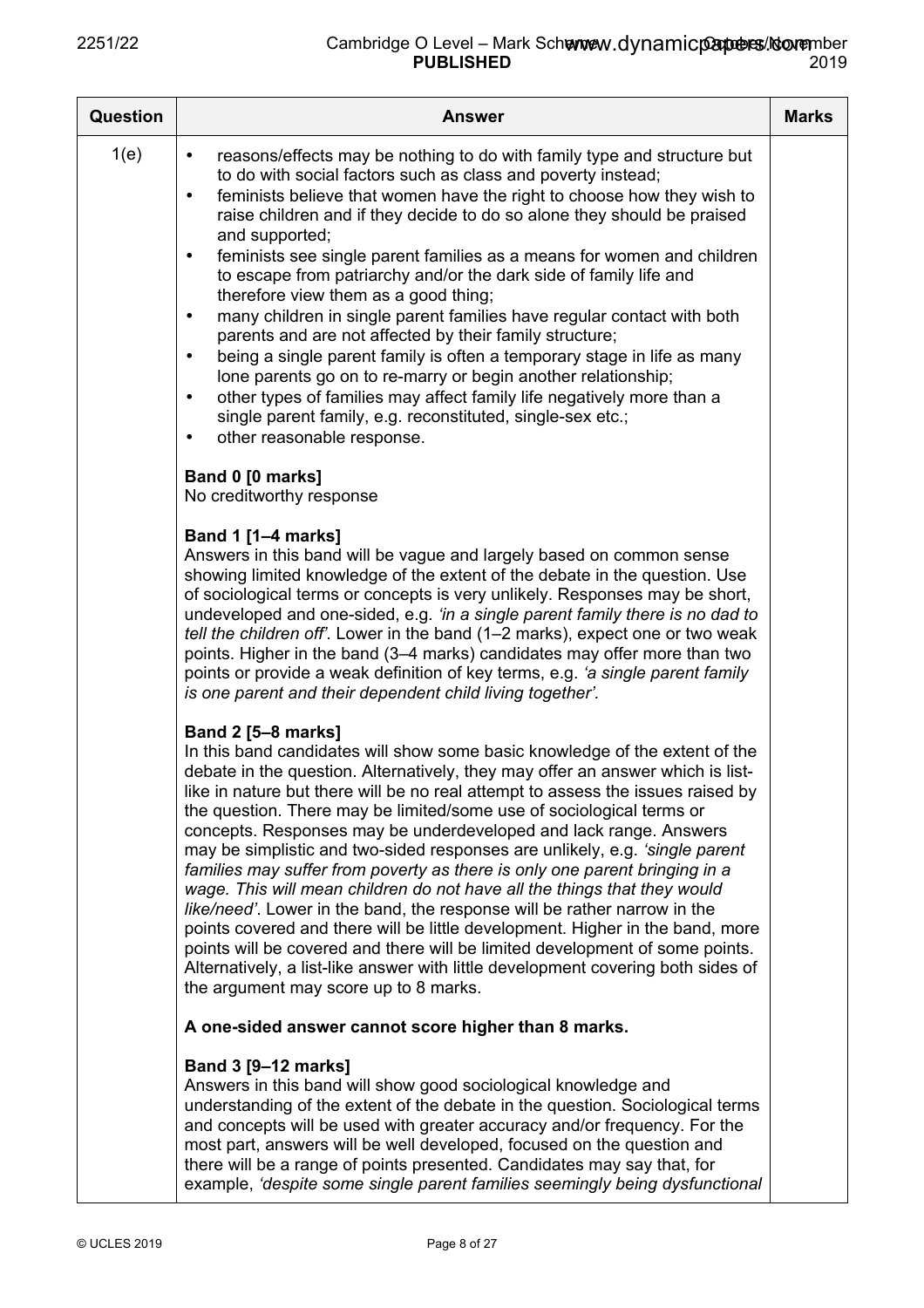| Question | <b>Answer</b>                                                                                                                                                                                                                                                                                                                                                                                                                                                                                                                                                                                                                                                                                                                                                                                                                                                                                                                                                                                                                                  | <b>Marks</b> |
|----------|------------------------------------------------------------------------------------------------------------------------------------------------------------------------------------------------------------------------------------------------------------------------------------------------------------------------------------------------------------------------------------------------------------------------------------------------------------------------------------------------------------------------------------------------------------------------------------------------------------------------------------------------------------------------------------------------------------------------------------------------------------------------------------------------------------------------------------------------------------------------------------------------------------------------------------------------------------------------------------------------------------------------------------------------|--------------|
| 1(e)     | reasons/effects may be nothing to do with family type and structure but<br>$\bullet$<br>to do with social factors such as class and poverty instead;<br>feminists believe that women have the right to choose how they wish to<br>$\bullet$<br>raise children and if they decide to do so alone they should be praised<br>and supported;<br>feminists see single parent families as a means for women and children<br>$\bullet$<br>to escape from patriarchy and/or the dark side of family life and<br>therefore view them as a good thing;<br>many children in single parent families have regular contact with both<br>$\bullet$<br>parents and are not affected by their family structure;<br>being a single parent family is often a temporary stage in life as many<br>$\bullet$<br>lone parents go on to re-marry or begin another relationship;<br>other types of families may affect family life negatively more than a<br>$\bullet$<br>single parent family, e.g. reconstituted, single-sex etc.;<br>other reasonable response.<br>٠ |              |
|          | Band 0 [0 marks]<br>No creditworthy response                                                                                                                                                                                                                                                                                                                                                                                                                                                                                                                                                                                                                                                                                                                                                                                                                                                                                                                                                                                                   |              |
|          | <b>Band 1 [1-4 marks]</b><br>Answers in this band will be vague and largely based on common sense<br>showing limited knowledge of the extent of the debate in the question. Use<br>of sociological terms or concepts is very unlikely. Responses may be short,<br>undeveloped and one-sided, e.g. 'in a single parent family there is no dad to<br>tell the children off'. Lower in the band (1-2 marks), expect one or two weak<br>points. Higher in the band (3–4 marks) candidates may offer more than two<br>points or provide a weak definition of key terms, e.g. 'a single parent family<br>is one parent and their dependent child living together'.                                                                                                                                                                                                                                                                                                                                                                                   |              |
|          | <b>Band 2 [5-8 marks]</b><br>In this band candidates will show some basic knowledge of the extent of the<br>debate in the question. Alternatively, they may offer an answer which is list-<br>like in nature but there will be no real attempt to assess the issues raised by<br>the question. There may be limited/some use of sociological terms or<br>concepts. Responses may be underdeveloped and lack range. Answers<br>may be simplistic and two-sided responses are unlikely, e.g. 'single parent<br>families may suffer from poverty as there is only one parent bringing in a<br>wage. This will mean children do not have all the things that they would<br>like/need'. Lower in the band, the response will be rather narrow in the<br>points covered and there will be little development. Higher in the band, more<br>points will be covered and there will be limited development of some points.<br>Alternatively, a list-like answer with little development covering both sides of<br>the argument may score up to 8 marks.  |              |
|          | A one-sided answer cannot score higher than 8 marks.                                                                                                                                                                                                                                                                                                                                                                                                                                                                                                                                                                                                                                                                                                                                                                                                                                                                                                                                                                                           |              |
|          | Band 3 [9-12 marks]<br>Answers in this band will show good sociological knowledge and<br>understanding of the extent of the debate in the question. Sociological terms<br>and concepts will be used with greater accuracy and/or frequency. For the<br>most part, answers will be well developed, focused on the question and<br>there will be a range of points presented. Candidates may say that, for                                                                                                                                                                                                                                                                                                                                                                                                                                                                                                                                                                                                                                       |              |

example, *'despite some single parent families seemingly being dysfunctional*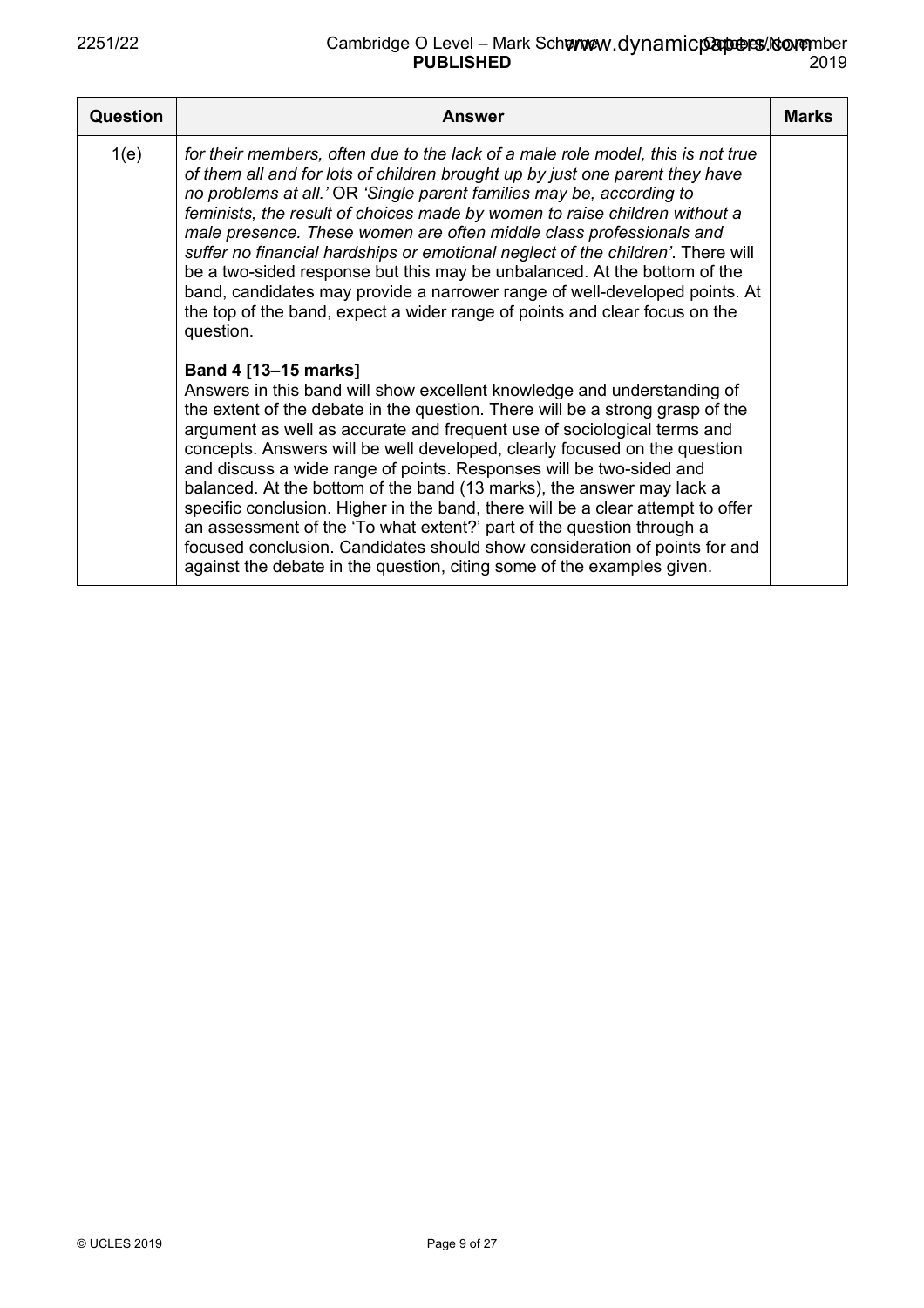## 2251/22 **Cambridge O Level – Mark Schemev PUBLISHED** Denpoers/Noovember 2019 www.dynamicpapoers/cov<del>e</del>r

| Question | <b>Answer</b>                                                                                                                                                                                                                                                                                                                                                                                                                                                                                                                                                                                                                                                                                                                                                                                                | <b>Marks</b> |
|----------|--------------------------------------------------------------------------------------------------------------------------------------------------------------------------------------------------------------------------------------------------------------------------------------------------------------------------------------------------------------------------------------------------------------------------------------------------------------------------------------------------------------------------------------------------------------------------------------------------------------------------------------------------------------------------------------------------------------------------------------------------------------------------------------------------------------|--------------|
| 1(e)     | for their members, often due to the lack of a male role model, this is not true<br>of them all and for lots of children brought up by just one parent they have<br>no problems at all.' OR 'Single parent families may be, according to<br>feminists, the result of choices made by women to raise children without a<br>male presence. These women are often middle class professionals and<br>suffer no financial hardships or emotional neglect of the children'. There will<br>be a two-sided response but this may be unbalanced. At the bottom of the<br>band, candidates may provide a narrower range of well-developed points. At<br>the top of the band, expect a wider range of points and clear focus on the<br>question.                                                                         |              |
|          | Band 4 [13-15 marks]<br>Answers in this band will show excellent knowledge and understanding of<br>the extent of the debate in the question. There will be a strong grasp of the<br>argument as well as accurate and frequent use of sociological terms and<br>concepts. Answers will be well developed, clearly focused on the question<br>and discuss a wide range of points. Responses will be two-sided and<br>balanced. At the bottom of the band (13 marks), the answer may lack a<br>specific conclusion. Higher in the band, there will be a clear attempt to offer<br>an assessment of the 'To what extent?' part of the question through a<br>focused conclusion. Candidates should show consideration of points for and<br>against the debate in the question, citing some of the examples given. |              |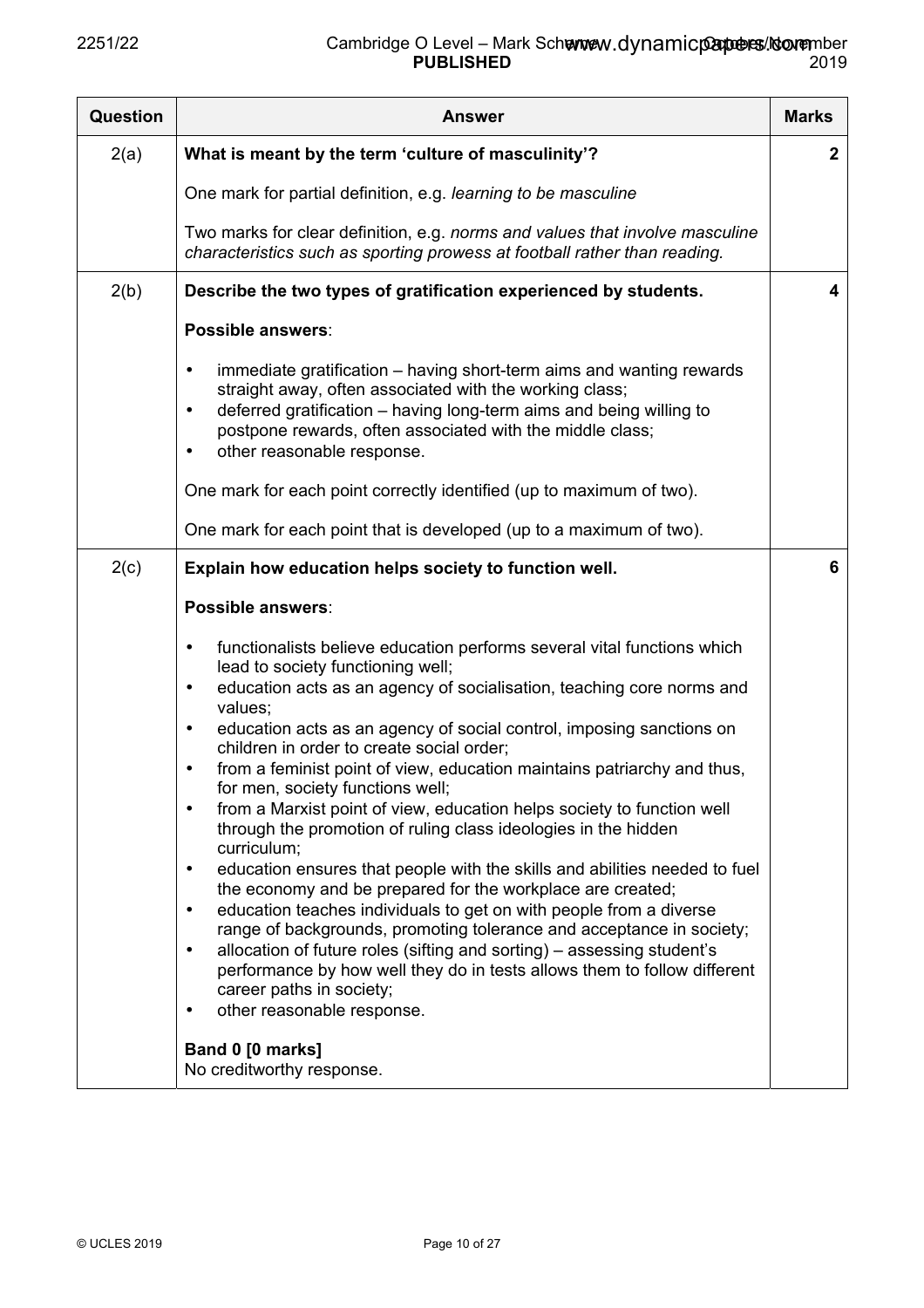| <b>Question</b> | <b>Answer</b>                                                                                                                                                                                                                                                                                                                                                                                                                                                                                                                                                                                                                                                                                                                                                                                                                                                                                                                                                                                                                                                                                                                                                                                                                  | <b>Marks</b> |
|-----------------|--------------------------------------------------------------------------------------------------------------------------------------------------------------------------------------------------------------------------------------------------------------------------------------------------------------------------------------------------------------------------------------------------------------------------------------------------------------------------------------------------------------------------------------------------------------------------------------------------------------------------------------------------------------------------------------------------------------------------------------------------------------------------------------------------------------------------------------------------------------------------------------------------------------------------------------------------------------------------------------------------------------------------------------------------------------------------------------------------------------------------------------------------------------------------------------------------------------------------------|--------------|
| 2(a)            | What is meant by the term 'culture of masculinity'?                                                                                                                                                                                                                                                                                                                                                                                                                                                                                                                                                                                                                                                                                                                                                                                                                                                                                                                                                                                                                                                                                                                                                                            | $\mathbf{2}$ |
|                 | One mark for partial definition, e.g. learning to be masculine                                                                                                                                                                                                                                                                                                                                                                                                                                                                                                                                                                                                                                                                                                                                                                                                                                                                                                                                                                                                                                                                                                                                                                 |              |
|                 | Two marks for clear definition, e.g. norms and values that involve masculine<br>characteristics such as sporting prowess at football rather than reading.                                                                                                                                                                                                                                                                                                                                                                                                                                                                                                                                                                                                                                                                                                                                                                                                                                                                                                                                                                                                                                                                      |              |
| 2(b)            | Describe the two types of gratification experienced by students.                                                                                                                                                                                                                                                                                                                                                                                                                                                                                                                                                                                                                                                                                                                                                                                                                                                                                                                                                                                                                                                                                                                                                               | 4            |
|                 | Possible answers:                                                                                                                                                                                                                                                                                                                                                                                                                                                                                                                                                                                                                                                                                                                                                                                                                                                                                                                                                                                                                                                                                                                                                                                                              |              |
|                 | immediate gratification - having short-term aims and wanting rewards<br>$\bullet$<br>straight away, often associated with the working class;<br>deferred gratification - having long-term aims and being willing to<br>$\bullet$<br>postpone rewards, often associated with the middle class;<br>other reasonable response.<br>$\bullet$                                                                                                                                                                                                                                                                                                                                                                                                                                                                                                                                                                                                                                                                                                                                                                                                                                                                                       |              |
|                 | One mark for each point correctly identified (up to maximum of two).                                                                                                                                                                                                                                                                                                                                                                                                                                                                                                                                                                                                                                                                                                                                                                                                                                                                                                                                                                                                                                                                                                                                                           |              |
|                 | One mark for each point that is developed (up to a maximum of two).                                                                                                                                                                                                                                                                                                                                                                                                                                                                                                                                                                                                                                                                                                                                                                                                                                                                                                                                                                                                                                                                                                                                                            |              |
| 2(c)            | Explain how education helps society to function well.                                                                                                                                                                                                                                                                                                                                                                                                                                                                                                                                                                                                                                                                                                                                                                                                                                                                                                                                                                                                                                                                                                                                                                          | 6            |
|                 | Possible answers:                                                                                                                                                                                                                                                                                                                                                                                                                                                                                                                                                                                                                                                                                                                                                                                                                                                                                                                                                                                                                                                                                                                                                                                                              |              |
|                 | functionalists believe education performs several vital functions which<br>$\bullet$<br>lead to society functioning well;<br>education acts as an agency of socialisation, teaching core norms and<br>$\bullet$<br>values;<br>education acts as an agency of social control, imposing sanctions on<br>$\bullet$<br>children in order to create social order;<br>from a feminist point of view, education maintains patriarchy and thus,<br>$\bullet$<br>for men. society functions well:<br>from a Marxist point of view, education helps society to function well<br>$\bullet$<br>through the promotion of ruling class ideologies in the hidden<br>curriculum;<br>education ensures that people with the skills and abilities needed to fuel<br>$\bullet$<br>the economy and be prepared for the workplace are created;<br>education teaches individuals to get on with people from a diverse<br>$\bullet$<br>range of backgrounds, promoting tolerance and acceptance in society;<br>allocation of future roles (sifting and sorting) – assessing student's<br>$\bullet$<br>performance by how well they do in tests allows them to follow different<br>career paths in society;<br>other reasonable response.<br>$\bullet$ |              |
|                 | Band 0 [0 marks]<br>No creditworthy response.                                                                                                                                                                                                                                                                                                                                                                                                                                                                                                                                                                                                                                                                                                                                                                                                                                                                                                                                                                                                                                                                                                                                                                                  |              |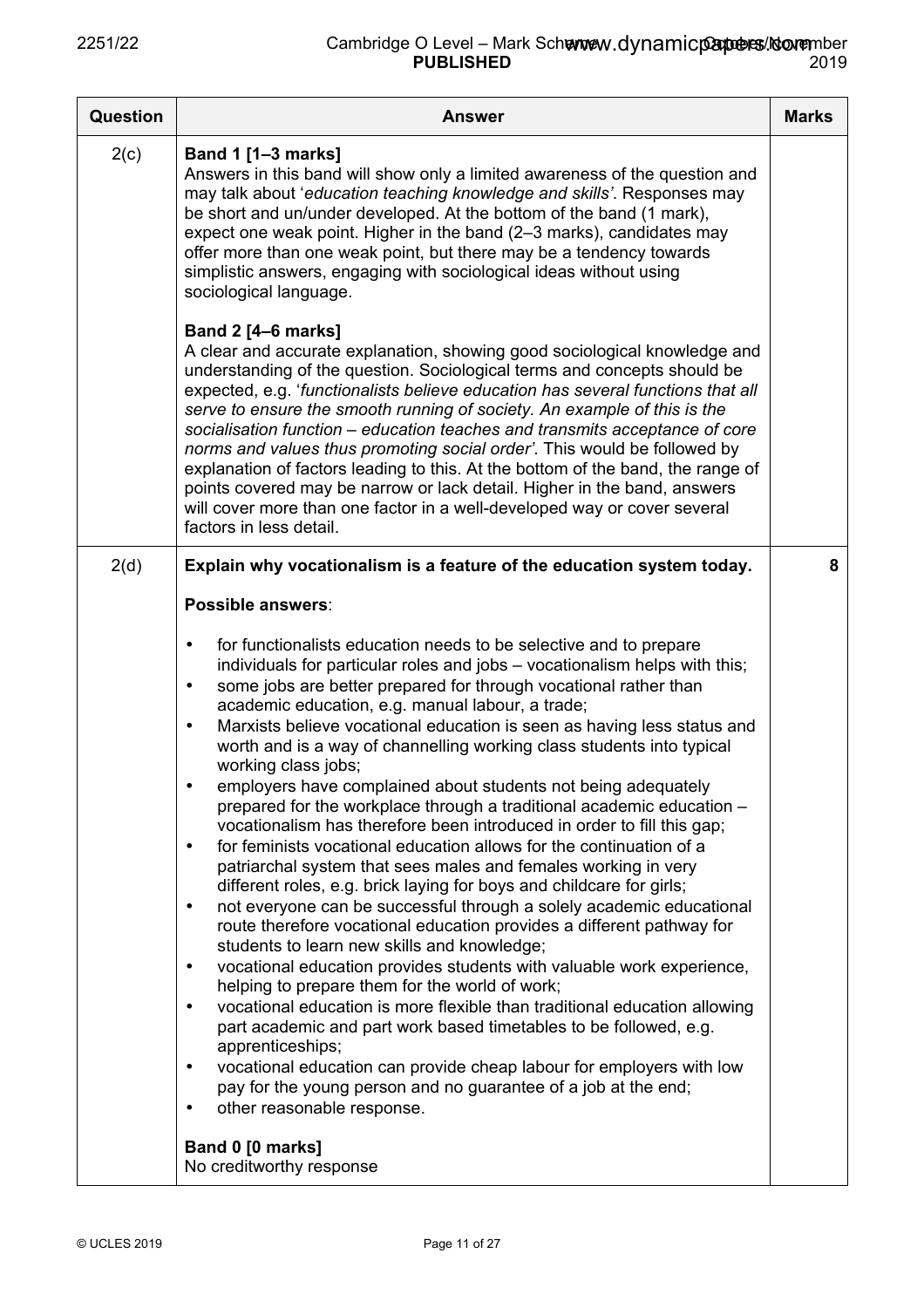| Question | <b>Answer</b>                                                                                                                                                                                                                                                                                                                                                                                                                                                                                                                                                                                                                                                                                                                                                                                                                                                                                                                                                                                                                                                                                                                                                                                                                                                                                                                                                                                                                                                                                                                                                                                                                                                                                                                         | <b>Marks</b> |
|----------|---------------------------------------------------------------------------------------------------------------------------------------------------------------------------------------------------------------------------------------------------------------------------------------------------------------------------------------------------------------------------------------------------------------------------------------------------------------------------------------------------------------------------------------------------------------------------------------------------------------------------------------------------------------------------------------------------------------------------------------------------------------------------------------------------------------------------------------------------------------------------------------------------------------------------------------------------------------------------------------------------------------------------------------------------------------------------------------------------------------------------------------------------------------------------------------------------------------------------------------------------------------------------------------------------------------------------------------------------------------------------------------------------------------------------------------------------------------------------------------------------------------------------------------------------------------------------------------------------------------------------------------------------------------------------------------------------------------------------------------|--------------|
| 2(c)     | <b>Band 1 [1-3 marks]</b><br>Answers in this band will show only a limited awareness of the question and<br>may talk about 'education teaching knowledge and skills'. Responses may<br>be short and un/under developed. At the bottom of the band (1 mark),<br>expect one weak point. Higher in the band (2-3 marks), candidates may<br>offer more than one weak point, but there may be a tendency towards<br>simplistic answers, engaging with sociological ideas without using<br>sociological language.                                                                                                                                                                                                                                                                                                                                                                                                                                                                                                                                                                                                                                                                                                                                                                                                                                                                                                                                                                                                                                                                                                                                                                                                                           |              |
|          | <b>Band 2 [4-6 marks]</b><br>A clear and accurate explanation, showing good sociological knowledge and<br>understanding of the question. Sociological terms and concepts should be<br>expected, e.g. 'functionalists believe education has several functions that all<br>serve to ensure the smooth running of society. An example of this is the<br>socialisation function - education teaches and transmits acceptance of core<br>norms and values thus promoting social order'. This would be followed by<br>explanation of factors leading to this. At the bottom of the band, the range of<br>points covered may be narrow or lack detail. Higher in the band, answers<br>will cover more than one factor in a well-developed way or cover several<br>factors in less detail.                                                                                                                                                                                                                                                                                                                                                                                                                                                                                                                                                                                                                                                                                                                                                                                                                                                                                                                                                    |              |
| 2(d)     | Explain why vocationalism is a feature of the education system today.                                                                                                                                                                                                                                                                                                                                                                                                                                                                                                                                                                                                                                                                                                                                                                                                                                                                                                                                                                                                                                                                                                                                                                                                                                                                                                                                                                                                                                                                                                                                                                                                                                                                 | 8            |
|          | Possible answers:                                                                                                                                                                                                                                                                                                                                                                                                                                                                                                                                                                                                                                                                                                                                                                                                                                                                                                                                                                                                                                                                                                                                                                                                                                                                                                                                                                                                                                                                                                                                                                                                                                                                                                                     |              |
|          | for functionalists education needs to be selective and to prepare<br>$\bullet$<br>individuals for particular roles and jobs - vocationalism helps with this;<br>some jobs are better prepared for through vocational rather than<br>$\bullet$<br>academic education, e.g. manual labour, a trade;<br>Marxists believe vocational education is seen as having less status and<br>$\bullet$<br>worth and is a way of channelling working class students into typical<br>working class jobs;<br>employers have complained about students not being adequately<br>prepared for the workplace through a traditional academic education -<br>vocationalism has therefore been introduced in order to fill this gap;<br>for feminists vocational education allows for the continuation of a<br>$\bullet$<br>patriarchal system that sees males and females working in very<br>different roles, e.g. brick laying for boys and childcare for girls;<br>not everyone can be successful through a solely academic educational<br>$\bullet$<br>route therefore vocational education provides a different pathway for<br>students to learn new skills and knowledge;<br>vocational education provides students with valuable work experience,<br>$\bullet$<br>helping to prepare them for the world of work;<br>vocational education is more flexible than traditional education allowing<br>$\bullet$<br>part academic and part work based timetables to be followed, e.g.<br>apprenticeships;<br>vocational education can provide cheap labour for employers with low<br>$\bullet$<br>pay for the young person and no guarantee of a job at the end;<br>other reasonable response.<br>$\bullet$<br>Band 0 [0 marks]<br>No creditworthy response |              |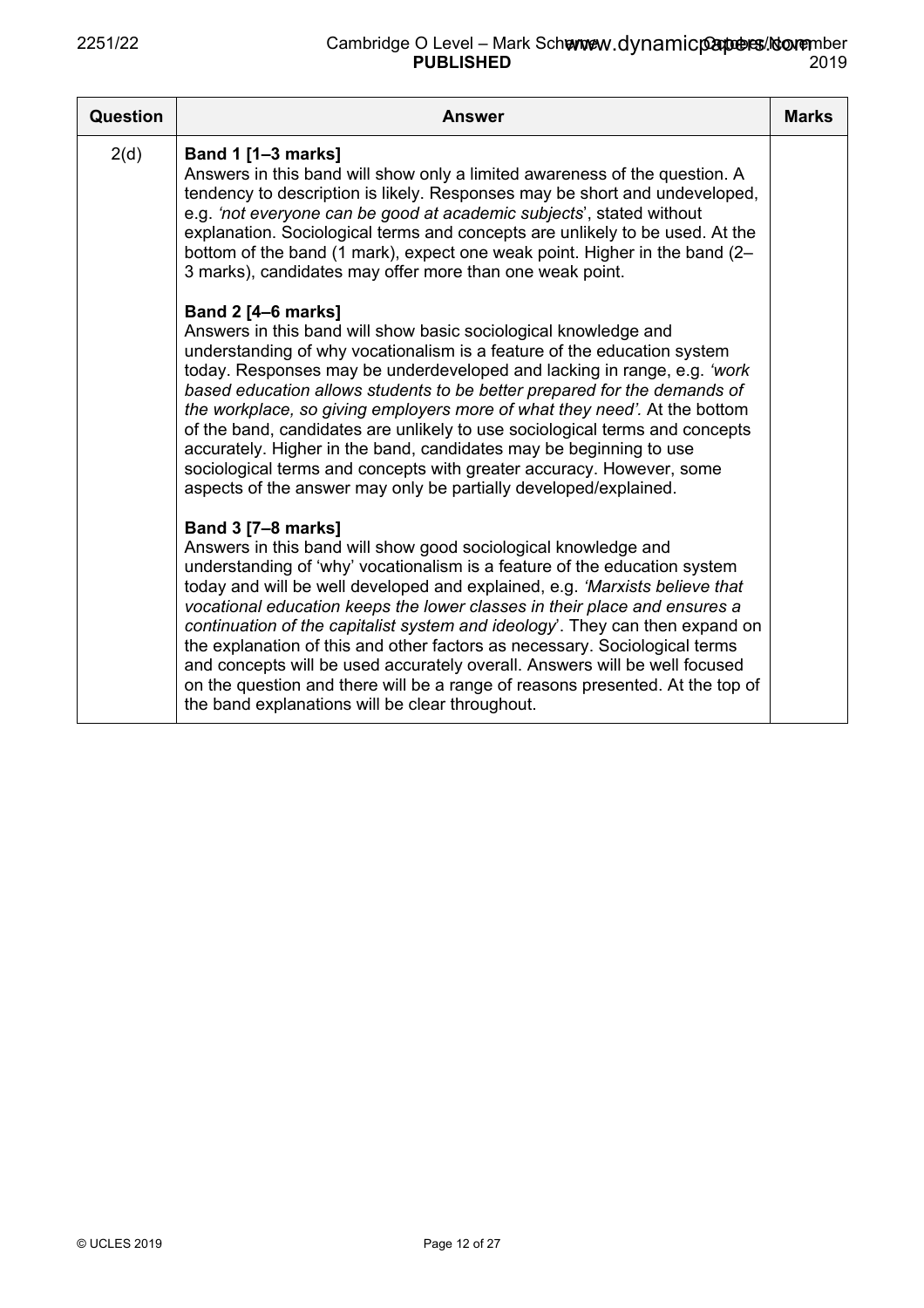| <b>Question</b> | <b>Answer</b>                                                                                                                                                                                                                                                                                                                                                                                                                                                                                                                                                                                                                                                                                                        | <b>Marks</b> |
|-----------------|----------------------------------------------------------------------------------------------------------------------------------------------------------------------------------------------------------------------------------------------------------------------------------------------------------------------------------------------------------------------------------------------------------------------------------------------------------------------------------------------------------------------------------------------------------------------------------------------------------------------------------------------------------------------------------------------------------------------|--------------|
| 2(d)            | Band 1 [1-3 marks]<br>Answers in this band will show only a limited awareness of the question. A<br>tendency to description is likely. Responses may be short and undeveloped,<br>e.g. 'not everyone can be good at academic subjects', stated without<br>explanation. Sociological terms and concepts are unlikely to be used. At the<br>bottom of the band (1 mark), expect one weak point. Higher in the band (2-<br>3 marks), candidates may offer more than one weak point.                                                                                                                                                                                                                                     |              |
|                 | <b>Band 2 [4-6 marks]</b><br>Answers in this band will show basic sociological knowledge and<br>understanding of why vocationalism is a feature of the education system<br>today. Responses may be underdeveloped and lacking in range, e.g. 'work<br>based education allows students to be better prepared for the demands of<br>the workplace, so giving employers more of what they need'. At the bottom<br>of the band, candidates are unlikely to use sociological terms and concepts<br>accurately. Higher in the band, candidates may be beginning to use<br>sociological terms and concepts with greater accuracy. However, some<br>aspects of the answer may only be partially developed/explained.         |              |
|                 | <b>Band 3 [7-8 marks]</b><br>Answers in this band will show good sociological knowledge and<br>understanding of 'why' vocationalism is a feature of the education system<br>today and will be well developed and explained, e.g. 'Marxists believe that<br>vocational education keeps the lower classes in their place and ensures a<br>continuation of the capitalist system and ideology'. They can then expand on<br>the explanation of this and other factors as necessary. Sociological terms<br>and concepts will be used accurately overall. Answers will be well focused<br>on the question and there will be a range of reasons presented. At the top of<br>the band explanations will be clear throughout. |              |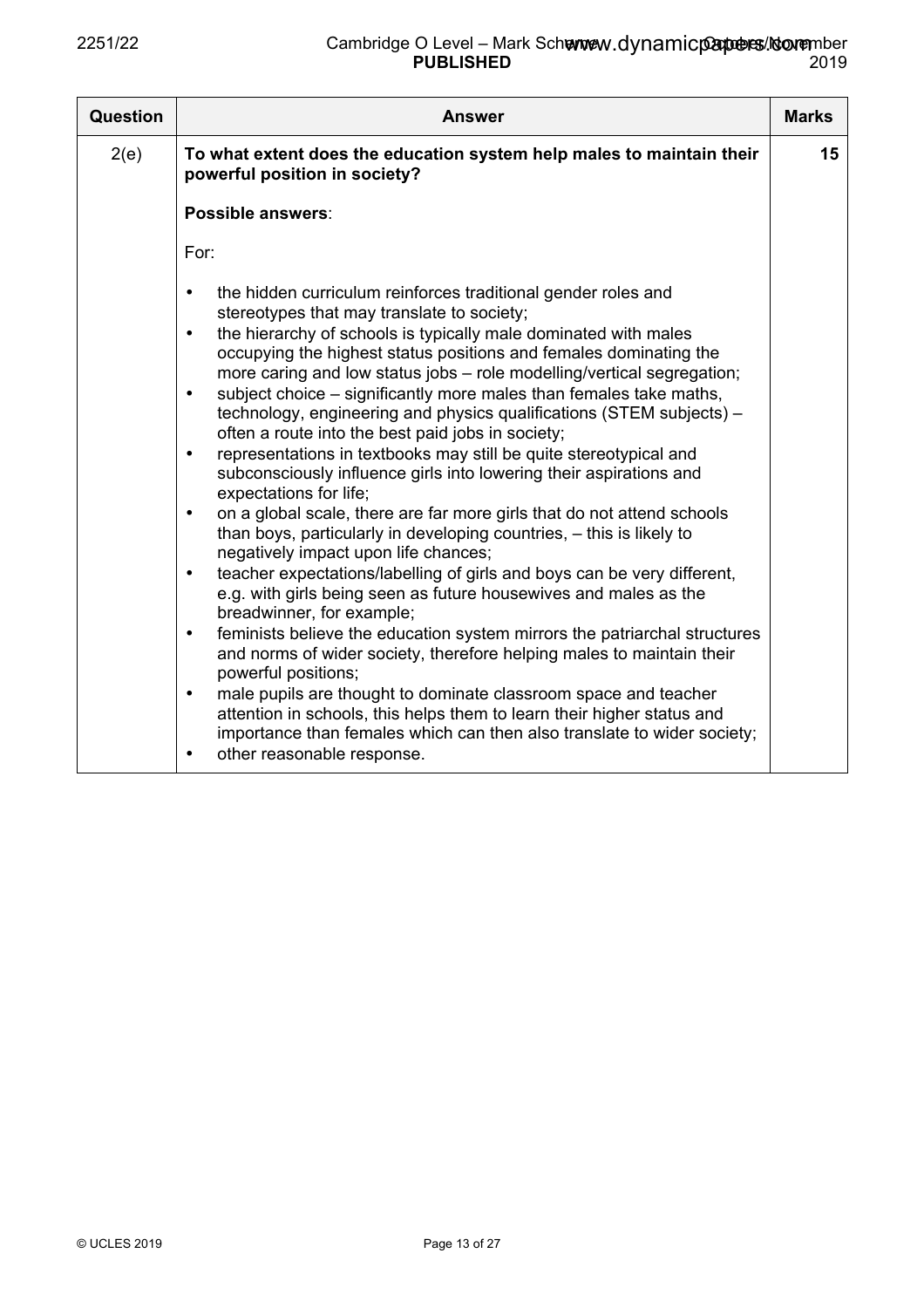| Question | <b>Answer</b>                                                                                                                                                                                                                                                                                                                                                                                                                                                                                                                                                                                                                                                                                                                                                                                                                                                                                                                                                                                                                                                                                                                                                                                                                                                                                                                                                                                                                                                                                                                                                                                                          | <b>Marks</b> |
|----------|------------------------------------------------------------------------------------------------------------------------------------------------------------------------------------------------------------------------------------------------------------------------------------------------------------------------------------------------------------------------------------------------------------------------------------------------------------------------------------------------------------------------------------------------------------------------------------------------------------------------------------------------------------------------------------------------------------------------------------------------------------------------------------------------------------------------------------------------------------------------------------------------------------------------------------------------------------------------------------------------------------------------------------------------------------------------------------------------------------------------------------------------------------------------------------------------------------------------------------------------------------------------------------------------------------------------------------------------------------------------------------------------------------------------------------------------------------------------------------------------------------------------------------------------------------------------------------------------------------------------|--------------|
| 2(e)     | To what extent does the education system help males to maintain their<br>powerful position in society?                                                                                                                                                                                                                                                                                                                                                                                                                                                                                                                                                                                                                                                                                                                                                                                                                                                                                                                                                                                                                                                                                                                                                                                                                                                                                                                                                                                                                                                                                                                 | 15           |
|          | Possible answers:                                                                                                                                                                                                                                                                                                                                                                                                                                                                                                                                                                                                                                                                                                                                                                                                                                                                                                                                                                                                                                                                                                                                                                                                                                                                                                                                                                                                                                                                                                                                                                                                      |              |
|          | For:                                                                                                                                                                                                                                                                                                                                                                                                                                                                                                                                                                                                                                                                                                                                                                                                                                                                                                                                                                                                                                                                                                                                                                                                                                                                                                                                                                                                                                                                                                                                                                                                                   |              |
|          | the hidden curriculum reinforces traditional gender roles and<br>$\bullet$<br>stereotypes that may translate to society;<br>the hierarchy of schools is typically male dominated with males<br>$\bullet$<br>occupying the highest status positions and females dominating the<br>more caring and low status jobs - role modelling/vertical segregation;<br>subject choice – significantly more males than females take maths,<br>$\bullet$<br>technology, engineering and physics qualifications (STEM subjects) -<br>often a route into the best paid jobs in society;<br>representations in textbooks may still be quite stereotypical and<br>$\bullet$<br>subconsciously influence girls into lowering their aspirations and<br>expectations for life;<br>on a global scale, there are far more girls that do not attend schools<br>$\bullet$<br>than boys, particularly in developing countries, – this is likely to<br>negatively impact upon life chances;<br>teacher expectations/labelling of girls and boys can be very different,<br>$\bullet$<br>e.g. with girls being seen as future housewives and males as the<br>breadwinner, for example;<br>feminists believe the education system mirrors the patriarchal structures<br>$\bullet$<br>and norms of wider society, therefore helping males to maintain their<br>powerful positions;<br>male pupils are thought to dominate classroom space and teacher<br>$\bullet$<br>attention in schools, this helps them to learn their higher status and<br>importance than females which can then also translate to wider society;<br>other reasonable response. |              |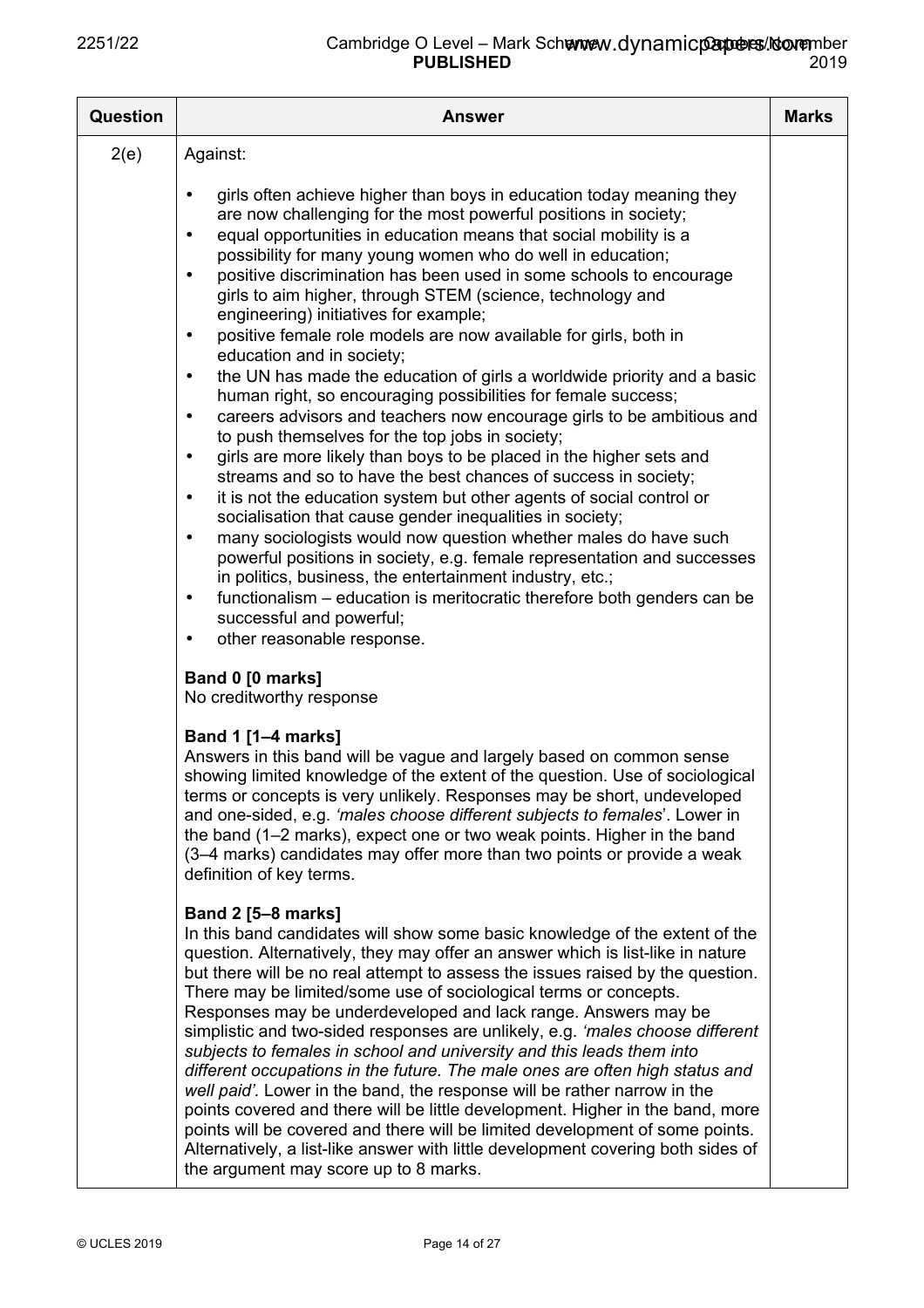| <b>Question</b> | <b>Answer</b>                                                                                                                                                                                                                                                                                                                                                                                                                                                                                                                                                                                                                                                                                                                                                                                                                                                                                                                                                                                                                                                                                                                                                                                                                                                                                                                                                                                                                                                                                                                                                                                              | <b>Marks</b> |
|-----------------|------------------------------------------------------------------------------------------------------------------------------------------------------------------------------------------------------------------------------------------------------------------------------------------------------------------------------------------------------------------------------------------------------------------------------------------------------------------------------------------------------------------------------------------------------------------------------------------------------------------------------------------------------------------------------------------------------------------------------------------------------------------------------------------------------------------------------------------------------------------------------------------------------------------------------------------------------------------------------------------------------------------------------------------------------------------------------------------------------------------------------------------------------------------------------------------------------------------------------------------------------------------------------------------------------------------------------------------------------------------------------------------------------------------------------------------------------------------------------------------------------------------------------------------------------------------------------------------------------------|--------------|
| 2(e)            | Against:                                                                                                                                                                                                                                                                                                                                                                                                                                                                                                                                                                                                                                                                                                                                                                                                                                                                                                                                                                                                                                                                                                                                                                                                                                                                                                                                                                                                                                                                                                                                                                                                   |              |
|                 | girls often achieve higher than boys in education today meaning they<br>$\bullet$<br>are now challenging for the most powerful positions in society;<br>equal opportunities in education means that social mobility is a<br>$\bullet$<br>possibility for many young women who do well in education;<br>positive discrimination has been used in some schools to encourage<br>$\bullet$<br>girls to aim higher, through STEM (science, technology and<br>engineering) initiatives for example;<br>positive female role models are now available for girls, both in<br>$\bullet$<br>education and in society;<br>the UN has made the education of girls a worldwide priority and a basic<br>$\bullet$<br>human right, so encouraging possibilities for female success;<br>careers advisors and teachers now encourage girls to be ambitious and<br>$\bullet$<br>to push themselves for the top jobs in society;<br>girls are more likely than boys to be placed in the higher sets and<br>$\bullet$<br>streams and so to have the best chances of success in society;<br>it is not the education system but other agents of social control or<br>$\bullet$<br>socialisation that cause gender inequalities in society;<br>many sociologists would now question whether males do have such<br>$\bullet$<br>powerful positions in society, e.g. female representation and successes<br>in politics, business, the entertainment industry, etc.;<br>functionalism - education is meritocratic therefore both genders can be<br>$\bullet$<br>successful and powerful;<br>other reasonable response.<br>$\bullet$ |              |
|                 | Band 0 [0 marks]<br>No creditworthy response                                                                                                                                                                                                                                                                                                                                                                                                                                                                                                                                                                                                                                                                                                                                                                                                                                                                                                                                                                                                                                                                                                                                                                                                                                                                                                                                                                                                                                                                                                                                                               |              |
|                 | <b>Band 1 [1-4 marks]</b><br>Answers in this band will be vague and largely based on common sense<br>showing limited knowledge of the extent of the question. Use of sociological<br>terms or concepts is very unlikely. Responses may be short, undeveloped<br>and one-sided, e.g. 'males choose different subjects to females'. Lower in<br>the band (1–2 marks), expect one or two weak points. Higher in the band<br>(3-4 marks) candidates may offer more than two points or provide a weak<br>definition of key terms.                                                                                                                                                                                                                                                                                                                                                                                                                                                                                                                                                                                                                                                                                                                                                                                                                                                                                                                                                                                                                                                                               |              |
|                 | <b>Band 2 [5-8 marks]</b><br>In this band candidates will show some basic knowledge of the extent of the<br>question. Alternatively, they may offer an answer which is list-like in nature<br>but there will be no real attempt to assess the issues raised by the question.<br>There may be limited/some use of sociological terms or concepts.<br>Responses may be underdeveloped and lack range. Answers may be<br>simplistic and two-sided responses are unlikely, e.g. 'males choose different<br>subjects to females in school and university and this leads them into<br>different occupations in the future. The male ones are often high status and<br>well paid'. Lower in the band, the response will be rather narrow in the<br>points covered and there will be little development. Higher in the band, more<br>points will be covered and there will be limited development of some points.<br>Alternatively, a list-like answer with little development covering both sides of<br>the argument may score up to 8 marks.                                                                                                                                                                                                                                                                                                                                                                                                                                                                                                                                                                     |              |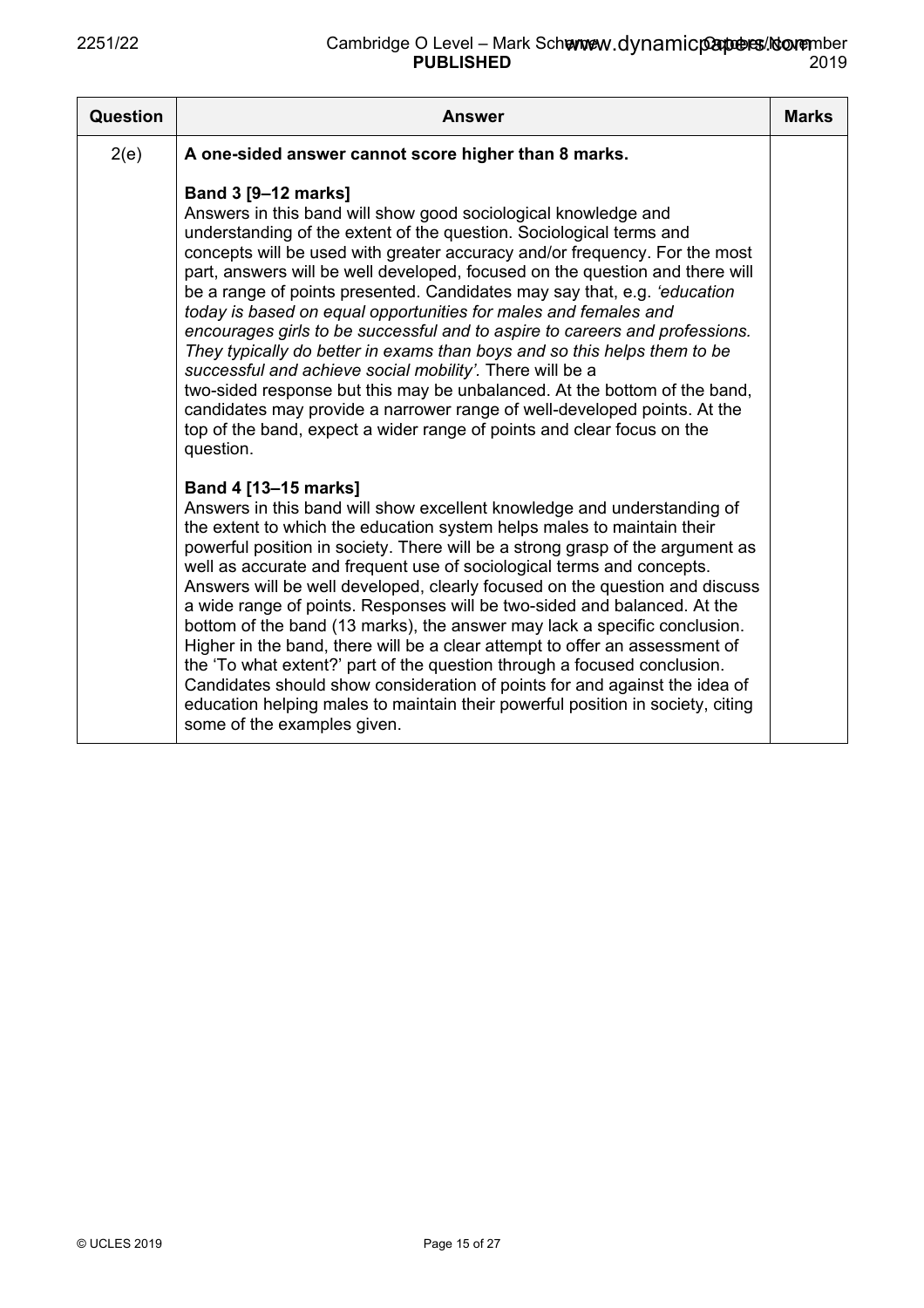| Question | <b>Answer</b>                                                                                                                                                                                                                                                                                                                                                                                                                                                                                                                                                                                                                                                                                                                                                                                                                                                                                                                                           | <b>Marks</b> |
|----------|---------------------------------------------------------------------------------------------------------------------------------------------------------------------------------------------------------------------------------------------------------------------------------------------------------------------------------------------------------------------------------------------------------------------------------------------------------------------------------------------------------------------------------------------------------------------------------------------------------------------------------------------------------------------------------------------------------------------------------------------------------------------------------------------------------------------------------------------------------------------------------------------------------------------------------------------------------|--------------|
| 2(e)     | A one-sided answer cannot score higher than 8 marks.                                                                                                                                                                                                                                                                                                                                                                                                                                                                                                                                                                                                                                                                                                                                                                                                                                                                                                    |              |
|          | <b>Band 3 [9-12 marks]</b><br>Answers in this band will show good sociological knowledge and<br>understanding of the extent of the question. Sociological terms and<br>concepts will be used with greater accuracy and/or frequency. For the most<br>part, answers will be well developed, focused on the question and there will<br>be a range of points presented. Candidates may say that, e.g. 'education<br>today is based on equal opportunities for males and females and<br>encourages girls to be successful and to aspire to careers and professions.<br>They typically do better in exams than boys and so this helps them to be<br>successful and achieve social mobility'. There will be a<br>two-sided response but this may be unbalanced. At the bottom of the band,<br>candidates may provide a narrower range of well-developed points. At the<br>top of the band, expect a wider range of points and clear focus on the<br>question. |              |
|          | Band 4 [13-15 marks]<br>Answers in this band will show excellent knowledge and understanding of<br>the extent to which the education system helps males to maintain their<br>powerful position in society. There will be a strong grasp of the argument as<br>well as accurate and frequent use of sociological terms and concepts.<br>Answers will be well developed, clearly focused on the question and discuss<br>a wide range of points. Responses will be two-sided and balanced. At the<br>bottom of the band (13 marks), the answer may lack a specific conclusion.<br>Higher in the band, there will be a clear attempt to offer an assessment of<br>the 'To what extent?' part of the question through a focused conclusion.<br>Candidates should show consideration of points for and against the idea of<br>education helping males to maintain their powerful position in society, citing<br>some of the examples given.                   |              |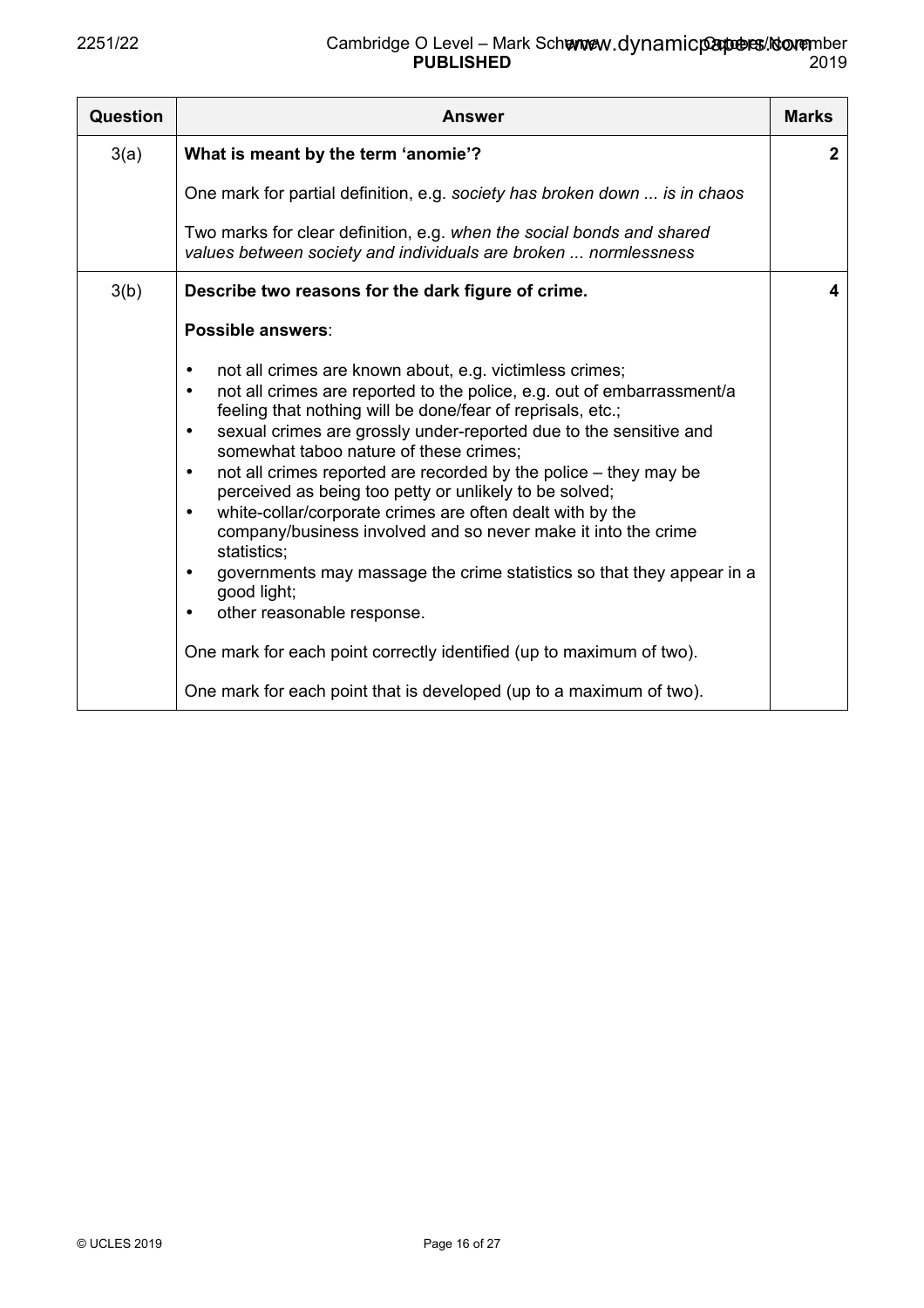| <b>Question</b> | <b>Answer</b>                                                                                                                                                                                                                                                                                                                                                                                                                                                                                                                                                                                                                                                                                                                                                                                                                                                                                                                                | <b>Marks</b> |
|-----------------|----------------------------------------------------------------------------------------------------------------------------------------------------------------------------------------------------------------------------------------------------------------------------------------------------------------------------------------------------------------------------------------------------------------------------------------------------------------------------------------------------------------------------------------------------------------------------------------------------------------------------------------------------------------------------------------------------------------------------------------------------------------------------------------------------------------------------------------------------------------------------------------------------------------------------------------------|--------------|
| 3(a)            | What is meant by the term 'anomie'?                                                                                                                                                                                                                                                                                                                                                                                                                                                                                                                                                                                                                                                                                                                                                                                                                                                                                                          | $\mathbf{2}$ |
|                 | One mark for partial definition, e.g. society has broken down  is in chaos                                                                                                                                                                                                                                                                                                                                                                                                                                                                                                                                                                                                                                                                                                                                                                                                                                                                   |              |
|                 | Two marks for clear definition, e.g. when the social bonds and shared<br>values between society and individuals are broken  normlessness                                                                                                                                                                                                                                                                                                                                                                                                                                                                                                                                                                                                                                                                                                                                                                                                     |              |
| 3(b)            | Describe two reasons for the dark figure of crime.                                                                                                                                                                                                                                                                                                                                                                                                                                                                                                                                                                                                                                                                                                                                                                                                                                                                                           | 4            |
|                 | Possible answers:                                                                                                                                                                                                                                                                                                                                                                                                                                                                                                                                                                                                                                                                                                                                                                                                                                                                                                                            |              |
|                 | not all crimes are known about, e.g. victimless crimes;<br>$\bullet$<br>not all crimes are reported to the police, e.g. out of embarrassment/a<br>$\bullet$<br>feeling that nothing will be done/fear of reprisals, etc.;<br>sexual crimes are grossly under-reported due to the sensitive and<br>$\bullet$<br>somewhat taboo nature of these crimes;<br>not all crimes reported are recorded by the police – they may be<br>$\bullet$<br>perceived as being too petty or unlikely to be solved;<br>white-collar/corporate crimes are often dealt with by the<br>$\bullet$<br>company/business involved and so never make it into the crime<br>statistics;<br>governments may massage the crime statistics so that they appear in a<br>$\bullet$<br>good light;<br>other reasonable response.<br>One mark for each point correctly identified (up to maximum of two).<br>One mark for each point that is developed (up to a maximum of two). |              |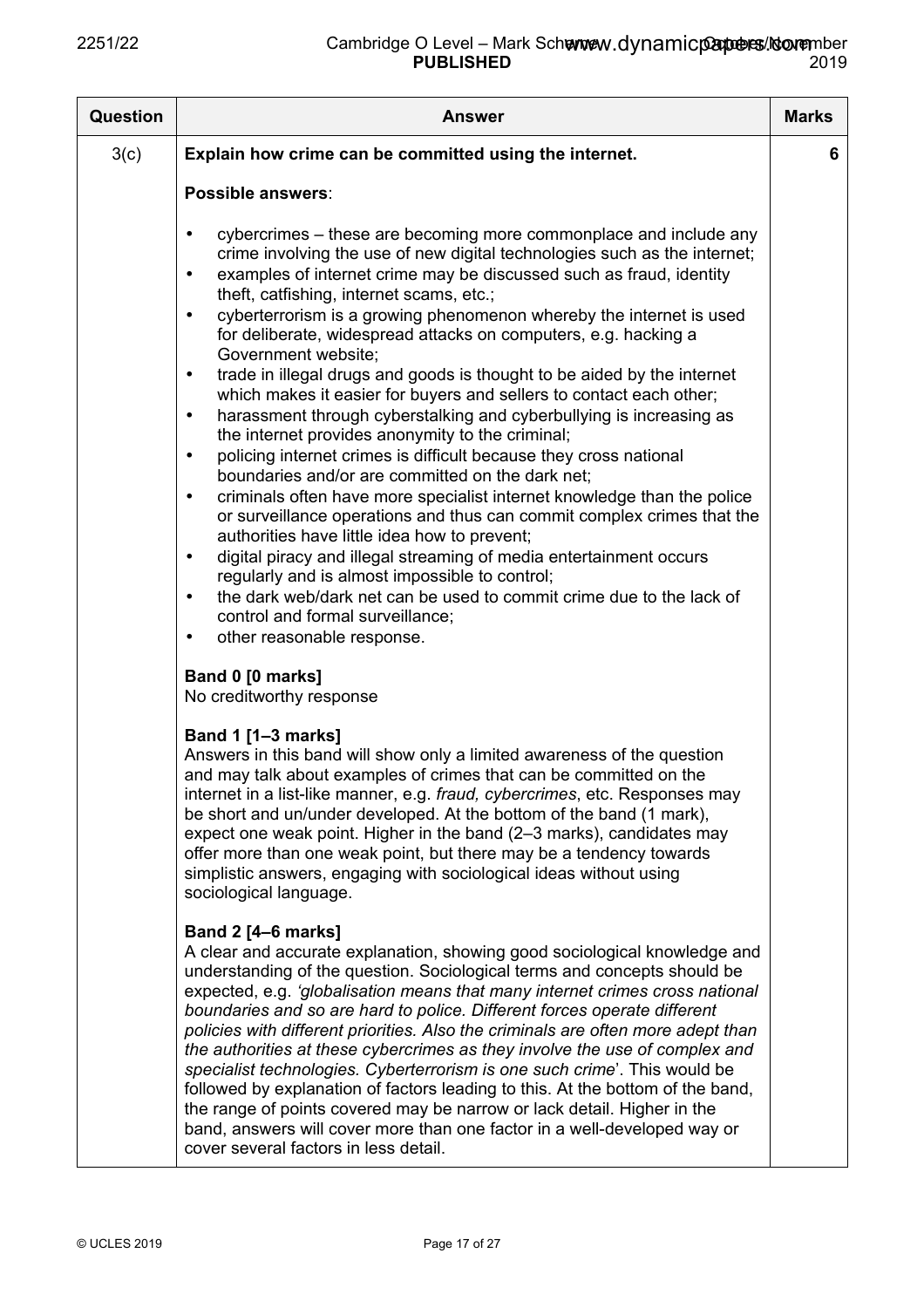| <b>Question</b> | <b>Answer</b>                                                                                                                                                                                                                                                                                                                                                                                                                                                                                                                                                                                                                                                                                                                                                                                                                                                                                                                                                                                                                                                                                                                                                                                                                                                                                                                                                                                                                                     | <b>Marks</b> |
|-----------------|---------------------------------------------------------------------------------------------------------------------------------------------------------------------------------------------------------------------------------------------------------------------------------------------------------------------------------------------------------------------------------------------------------------------------------------------------------------------------------------------------------------------------------------------------------------------------------------------------------------------------------------------------------------------------------------------------------------------------------------------------------------------------------------------------------------------------------------------------------------------------------------------------------------------------------------------------------------------------------------------------------------------------------------------------------------------------------------------------------------------------------------------------------------------------------------------------------------------------------------------------------------------------------------------------------------------------------------------------------------------------------------------------------------------------------------------------|--------------|
| 3(c)            | Explain how crime can be committed using the internet.                                                                                                                                                                                                                                                                                                                                                                                                                                                                                                                                                                                                                                                                                                                                                                                                                                                                                                                                                                                                                                                                                                                                                                                                                                                                                                                                                                                            | 6            |
|                 | Possible answers:                                                                                                                                                                                                                                                                                                                                                                                                                                                                                                                                                                                                                                                                                                                                                                                                                                                                                                                                                                                                                                                                                                                                                                                                                                                                                                                                                                                                                                 |              |
|                 | cybercrimes – these are becoming more commonplace and include any<br>$\bullet$<br>crime involving the use of new digital technologies such as the internet;<br>examples of internet crime may be discussed such as fraud, identity<br>$\bullet$<br>theft, catfishing, internet scams, etc.;<br>cyberterrorism is a growing phenomenon whereby the internet is used<br>$\bullet$<br>for deliberate, widespread attacks on computers, e.g. hacking a<br>Government website;<br>trade in illegal drugs and goods is thought to be aided by the internet<br>$\bullet$<br>which makes it easier for buyers and sellers to contact each other;<br>harassment through cyberstalking and cyberbullying is increasing as<br>$\bullet$<br>the internet provides anonymity to the criminal;<br>policing internet crimes is difficult because they cross national<br>$\bullet$<br>boundaries and/or are committed on the dark net:<br>criminals often have more specialist internet knowledge than the police<br>$\bullet$<br>or surveillance operations and thus can commit complex crimes that the<br>authorities have little idea how to prevent;<br>digital piracy and illegal streaming of media entertainment occurs<br>$\bullet$<br>regularly and is almost impossible to control;<br>the dark web/dark net can be used to commit crime due to the lack of<br>$\bullet$<br>control and formal surveillance;<br>other reasonable response.<br>$\bullet$ |              |
|                 | Band 0 [0 marks]                                                                                                                                                                                                                                                                                                                                                                                                                                                                                                                                                                                                                                                                                                                                                                                                                                                                                                                                                                                                                                                                                                                                                                                                                                                                                                                                                                                                                                  |              |
|                 | No creditworthy response                                                                                                                                                                                                                                                                                                                                                                                                                                                                                                                                                                                                                                                                                                                                                                                                                                                                                                                                                                                                                                                                                                                                                                                                                                                                                                                                                                                                                          |              |
|                 | <b>Band 1 [1-3 marks]</b><br>Answers in this band will show only a limited awareness of the question<br>and may talk about examples of crimes that can be committed on the<br>internet in a list-like manner, e.g. <i>fraud, cybercrimes</i> , etc. Responses may<br>be short and un/under developed. At the bottom of the band (1 mark),<br>expect one weak point. Higher in the band (2–3 marks), candidates may<br>offer more than one weak point, but there may be a tendency towards<br>simplistic answers, engaging with sociological ideas without using<br>sociological language.                                                                                                                                                                                                                                                                                                                                                                                                                                                                                                                                                                                                                                                                                                                                                                                                                                                         |              |
|                 | <b>Band 2 [4-6 marks]</b><br>A clear and accurate explanation, showing good sociological knowledge and<br>understanding of the question. Sociological terms and concepts should be<br>expected, e.g. 'globalisation means that many internet crimes cross national<br>boundaries and so are hard to police. Different forces operate different<br>policies with different priorities. Also the criminals are often more adept than<br>the authorities at these cybercrimes as they involve the use of complex and<br>specialist technologies. Cyberterrorism is one such crime'. This would be<br>followed by explanation of factors leading to this. At the bottom of the band,<br>the range of points covered may be narrow or lack detail. Higher in the<br>band, answers will cover more than one factor in a well-developed way or<br>cover several factors in less detail.                                                                                                                                                                                                                                                                                                                                                                                                                                                                                                                                                                  |              |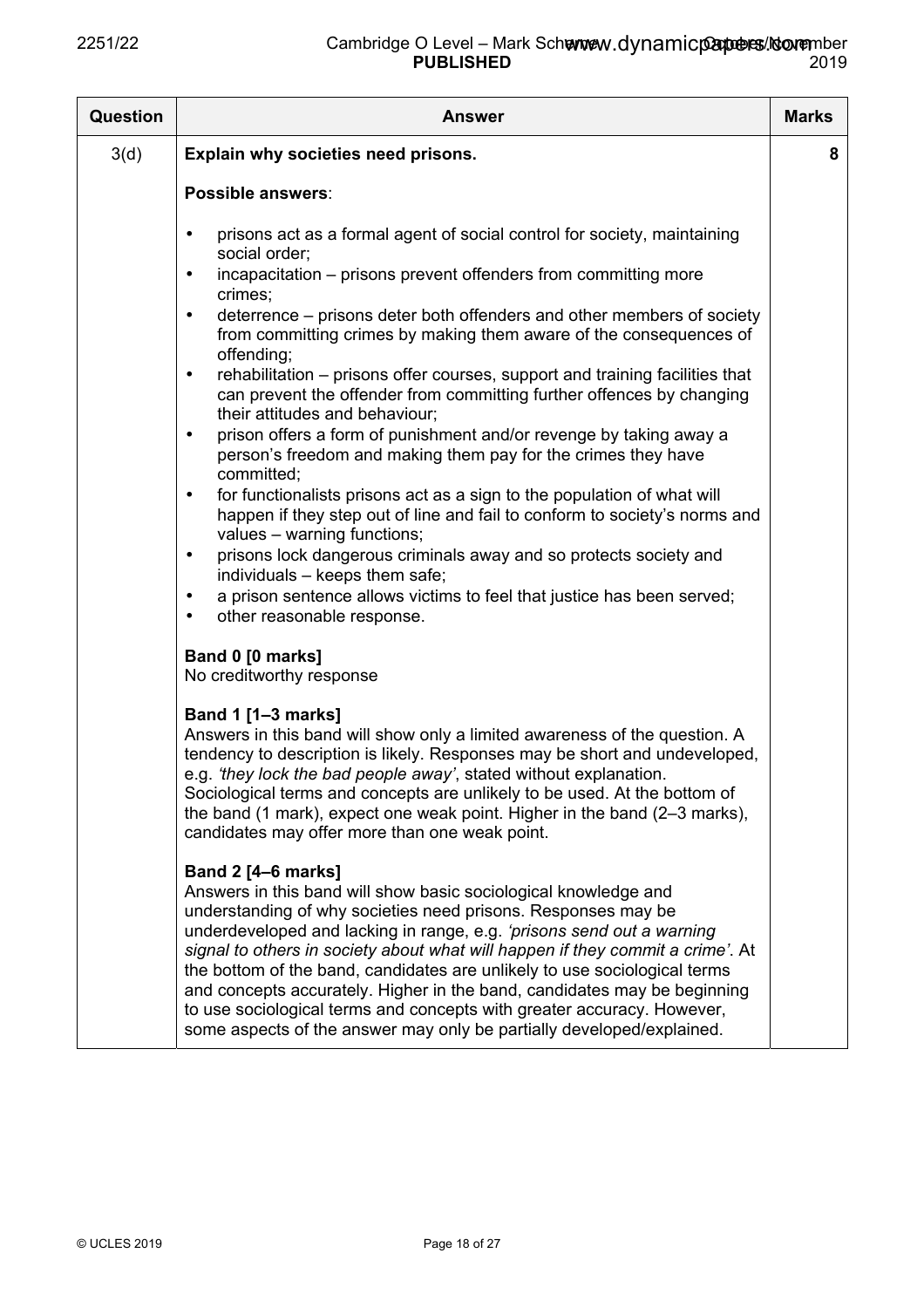| <b>Question</b> | <b>Answer</b>                                                                                                                                                                                                                                                                                                                                                                                                                                                                                                                                                                                                                        | <b>Marks</b> |
|-----------------|--------------------------------------------------------------------------------------------------------------------------------------------------------------------------------------------------------------------------------------------------------------------------------------------------------------------------------------------------------------------------------------------------------------------------------------------------------------------------------------------------------------------------------------------------------------------------------------------------------------------------------------|--------------|
| 3(d)            | Explain why societies need prisons.                                                                                                                                                                                                                                                                                                                                                                                                                                                                                                                                                                                                  | 8            |
|                 | Possible answers:                                                                                                                                                                                                                                                                                                                                                                                                                                                                                                                                                                                                                    |              |
|                 | prisons act as a formal agent of social control for society, maintaining<br>$\bullet$<br>social order;                                                                                                                                                                                                                                                                                                                                                                                                                                                                                                                               |              |
|                 | incapacitation - prisons prevent offenders from committing more<br>$\bullet$<br>crimes;                                                                                                                                                                                                                                                                                                                                                                                                                                                                                                                                              |              |
|                 | deterrence – prisons deter both offenders and other members of society<br>$\bullet$<br>from committing crimes by making them aware of the consequences of<br>offending;                                                                                                                                                                                                                                                                                                                                                                                                                                                              |              |
|                 | rehabilitation - prisons offer courses, support and training facilities that<br>$\bullet$<br>can prevent the offender from committing further offences by changing<br>their attitudes and behaviour;                                                                                                                                                                                                                                                                                                                                                                                                                                 |              |
|                 | prison offers a form of punishment and/or revenge by taking away a<br>$\bullet$<br>person's freedom and making them pay for the crimes they have<br>committed;                                                                                                                                                                                                                                                                                                                                                                                                                                                                       |              |
|                 | for functionalists prisons act as a sign to the population of what will<br>$\bullet$<br>happen if they step out of line and fail to conform to society's norms and<br>values - warning functions;                                                                                                                                                                                                                                                                                                                                                                                                                                    |              |
|                 | prisons lock dangerous criminals away and so protects society and<br>$\bullet$<br>individuals - keeps them safe;                                                                                                                                                                                                                                                                                                                                                                                                                                                                                                                     |              |
|                 | a prison sentence allows victims to feel that justice has been served;<br>$\bullet$<br>other reasonable response.<br>$\bullet$                                                                                                                                                                                                                                                                                                                                                                                                                                                                                                       |              |
|                 | Band 0 [0 marks]<br>No creditworthy response                                                                                                                                                                                                                                                                                                                                                                                                                                                                                                                                                                                         |              |
|                 | <b>Band 1 [1-3 marks]</b><br>Answers in this band will show only a limited awareness of the question. A<br>tendency to description is likely. Responses may be short and undeveloped,<br>e.g. 'they lock the bad people away', stated without explanation.<br>Sociological terms and concepts are unlikely to be used. At the bottom of<br>the band (1 mark), expect one weak point. Higher in the band (2–3 marks),<br>candidates may offer more than one weak point.                                                                                                                                                               |              |
|                 | <b>Band 2 [4-6 marks]</b><br>Answers in this band will show basic sociological knowledge and<br>understanding of why societies need prisons. Responses may be<br>underdeveloped and lacking in range, e.g. 'prisons send out a warning<br>signal to others in society about what will happen if they commit a crime'. At<br>the bottom of the band, candidates are unlikely to use sociological terms<br>and concepts accurately. Higher in the band, candidates may be beginning<br>to use sociological terms and concepts with greater accuracy. However,<br>some aspects of the answer may only be partially developed/explained. |              |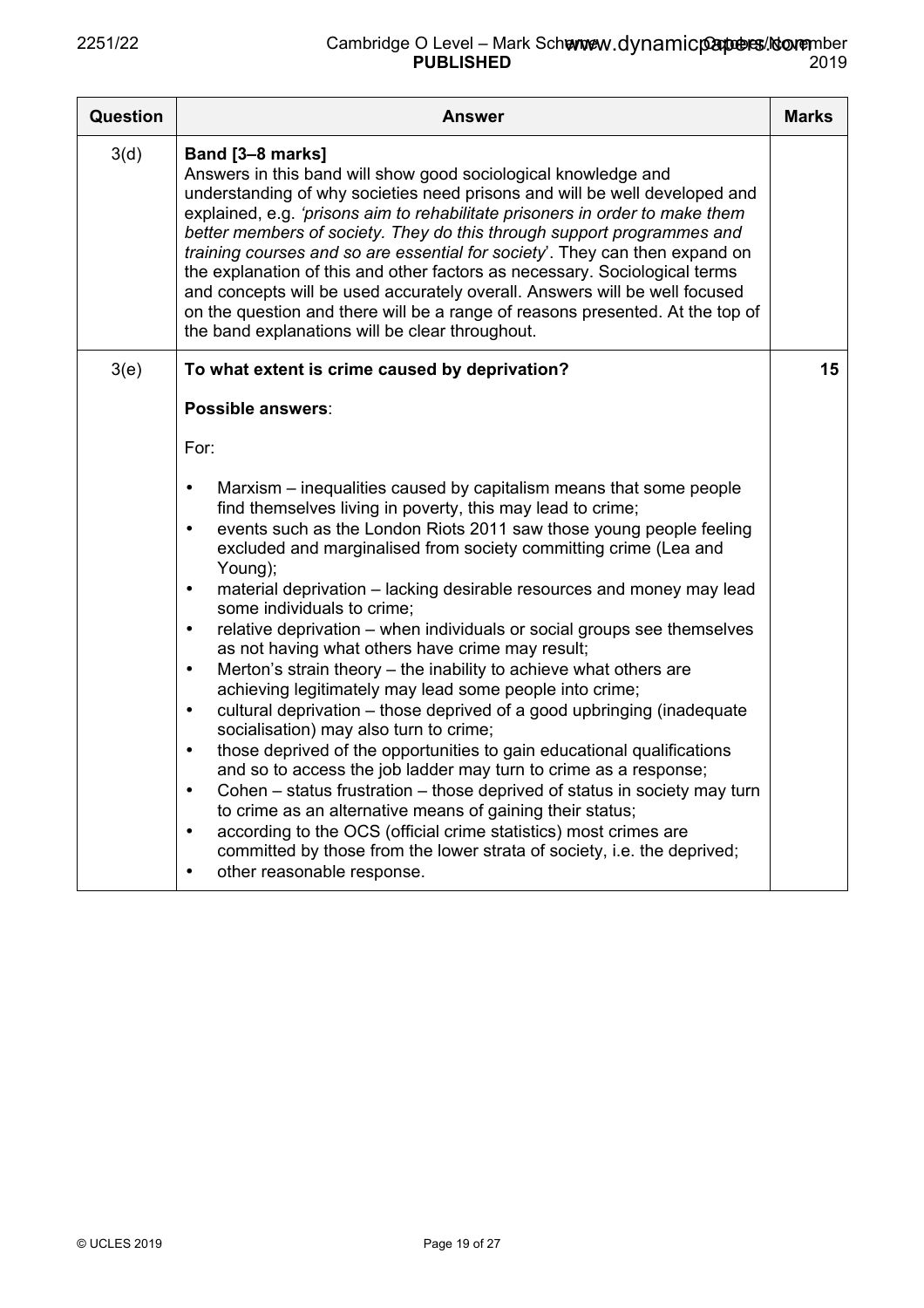| <b>Question</b> | <b>Answer</b>                                                                                                                                                                                                                                                                                                                                                                                                                                                                                                                                                                                                                                                                                                                                                                                                                                                                                                                                                                                                                                                                                                                                                                                                                                                                                                                                                                           | <b>Marks</b> |
|-----------------|-----------------------------------------------------------------------------------------------------------------------------------------------------------------------------------------------------------------------------------------------------------------------------------------------------------------------------------------------------------------------------------------------------------------------------------------------------------------------------------------------------------------------------------------------------------------------------------------------------------------------------------------------------------------------------------------------------------------------------------------------------------------------------------------------------------------------------------------------------------------------------------------------------------------------------------------------------------------------------------------------------------------------------------------------------------------------------------------------------------------------------------------------------------------------------------------------------------------------------------------------------------------------------------------------------------------------------------------------------------------------------------------|--------------|
| 3(d)            | Band [3-8 marks]<br>Answers in this band will show good sociological knowledge and<br>understanding of why societies need prisons and will be well developed and<br>explained, e.g. 'prisons aim to rehabilitate prisoners in order to make them<br>better members of society. They do this through support programmes and<br>training courses and so are essential for society'. They can then expand on<br>the explanation of this and other factors as necessary. Sociological terms<br>and concepts will be used accurately overall. Answers will be well focused<br>on the question and there will be a range of reasons presented. At the top of<br>the band explanations will be clear throughout.                                                                                                                                                                                                                                                                                                                                                                                                                                                                                                                                                                                                                                                                               |              |
| 3(e)            | To what extent is crime caused by deprivation?                                                                                                                                                                                                                                                                                                                                                                                                                                                                                                                                                                                                                                                                                                                                                                                                                                                                                                                                                                                                                                                                                                                                                                                                                                                                                                                                          | 15           |
|                 | Possible answers:                                                                                                                                                                                                                                                                                                                                                                                                                                                                                                                                                                                                                                                                                                                                                                                                                                                                                                                                                                                                                                                                                                                                                                                                                                                                                                                                                                       |              |
|                 | For:                                                                                                                                                                                                                                                                                                                                                                                                                                                                                                                                                                                                                                                                                                                                                                                                                                                                                                                                                                                                                                                                                                                                                                                                                                                                                                                                                                                    |              |
|                 | Marxism – inequalities caused by capitalism means that some people<br>$\bullet$<br>find themselves living in poverty, this may lead to crime;<br>events such as the London Riots 2011 saw those young people feeling<br>$\bullet$<br>excluded and marginalised from society committing crime (Lea and<br>Young);<br>material deprivation - lacking desirable resources and money may lead<br>$\bullet$<br>some individuals to crime:<br>relative deprivation – when individuals or social groups see themselves<br>$\bullet$<br>as not having what others have crime may result;<br>Merton's strain theory - the inability to achieve what others are<br>$\bullet$<br>achieving legitimately may lead some people into crime;<br>cultural deprivation – those deprived of a good upbringing (inadequate<br>$\bullet$<br>socialisation) may also turn to crime;<br>those deprived of the opportunities to gain educational qualifications<br>$\bullet$<br>and so to access the job ladder may turn to crime as a response;<br>Cohen - status frustration - those deprived of status in society may turn<br>$\bullet$<br>to crime as an alternative means of gaining their status;<br>according to the OCS (official crime statistics) most crimes are<br>$\bullet$<br>committed by those from the lower strata of society, i.e. the deprived;<br>other reasonable response.<br>$\bullet$ |              |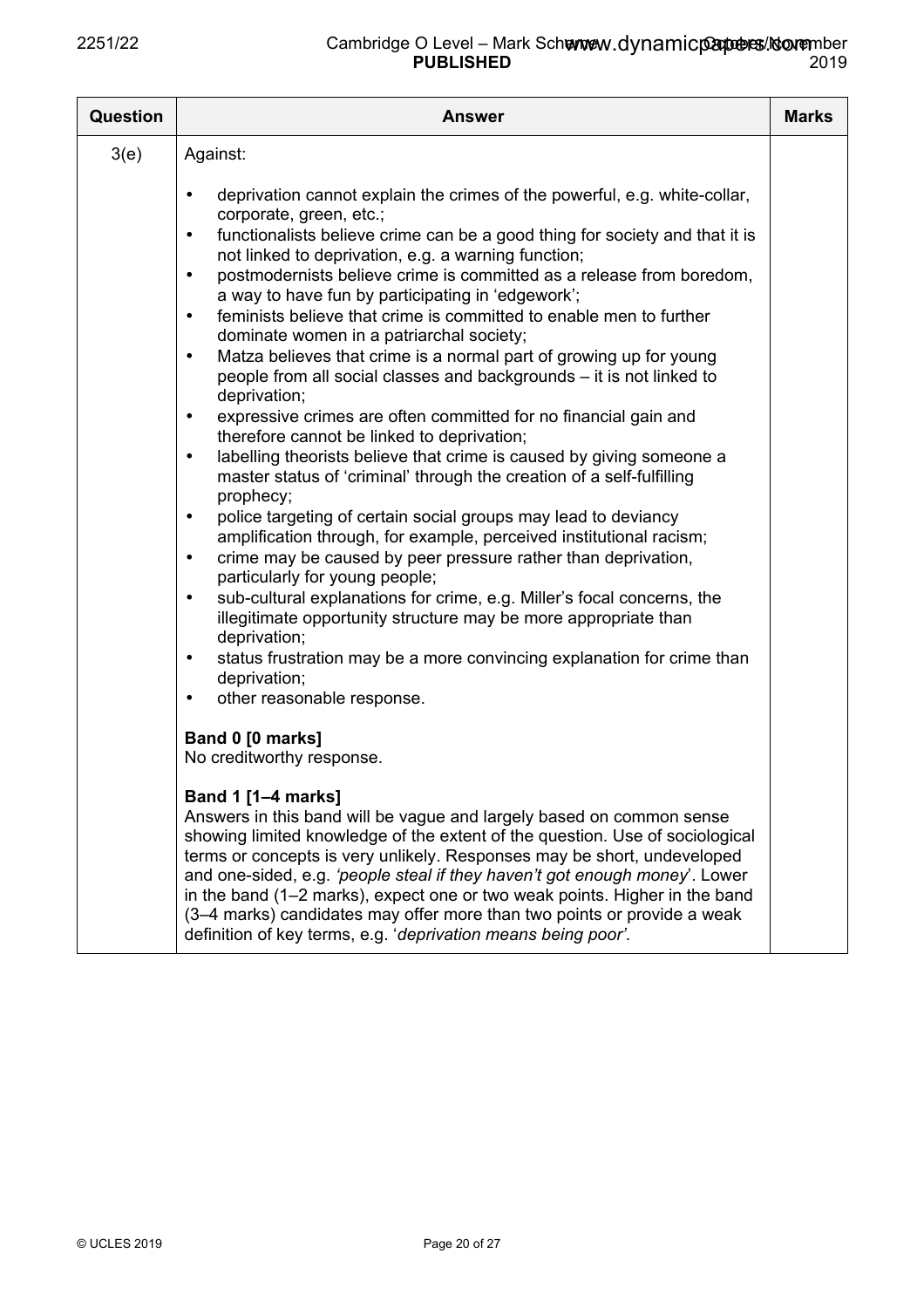| <b>Question</b> | <b>Answer</b>                                                                                                                                                                                                                                                                                                                                                                                                                                                                                                                                                                                                                                                                                                                                                                                                                                                                                                           | <b>Marks</b> |
|-----------------|-------------------------------------------------------------------------------------------------------------------------------------------------------------------------------------------------------------------------------------------------------------------------------------------------------------------------------------------------------------------------------------------------------------------------------------------------------------------------------------------------------------------------------------------------------------------------------------------------------------------------------------------------------------------------------------------------------------------------------------------------------------------------------------------------------------------------------------------------------------------------------------------------------------------------|--------------|
| 3(e)            | Against:<br>deprivation cannot explain the crimes of the powerful, e.g. white-collar,<br>$\bullet$<br>corporate, green, etc.;<br>functionalists believe crime can be a good thing for society and that it is<br>$\bullet$<br>not linked to deprivation, e.g. a warning function;<br>postmodernists believe crime is committed as a release from boredom,<br>$\bullet$<br>a way to have fun by participating in 'edgework';<br>feminists believe that crime is committed to enable men to further<br>$\bullet$<br>dominate women in a patriarchal society;<br>Matza believes that crime is a normal part of growing up for young<br>$\bullet$<br>people from all social classes and backgrounds – it is not linked to                                                                                                                                                                                                    |              |
|                 | deprivation;<br>expressive crimes are often committed for no financial gain and<br>$\bullet$<br>therefore cannot be linked to deprivation;<br>labelling theorists believe that crime is caused by giving someone a<br>$\bullet$<br>master status of 'criminal' through the creation of a self-fulfilling<br>prophecy;<br>police targeting of certain social groups may lead to deviancy<br>$\bullet$<br>amplification through, for example, perceived institutional racism;<br>crime may be caused by peer pressure rather than deprivation,<br>$\bullet$<br>particularly for young people;<br>sub-cultural explanations for crime, e.g. Miller's focal concerns, the<br>$\bullet$<br>illegitimate opportunity structure may be more appropriate than<br>deprivation;<br>status frustration may be a more convincing explanation for crime than<br>$\bullet$<br>deprivation;<br>other reasonable response.<br>$\bullet$ |              |
|                 | Band 0 [0 marks]<br>No creditworthy response.<br>Band 1 [1-4 marks]<br>Answers in this band will be vague and largely based on common sense<br>showing limited knowledge of the extent of the question. Use of sociological<br>terms or concepts is very unlikely. Responses may be short, undeveloped<br>and one-sided, e.g. 'people steal if they haven't got enough money'. Lower<br>in the band (1–2 marks), expect one or two weak points. Higher in the band<br>(3-4 marks) candidates may offer more than two points or provide a weak<br>definition of key terms, e.g. 'deprivation means being poor'.                                                                                                                                                                                                                                                                                                          |              |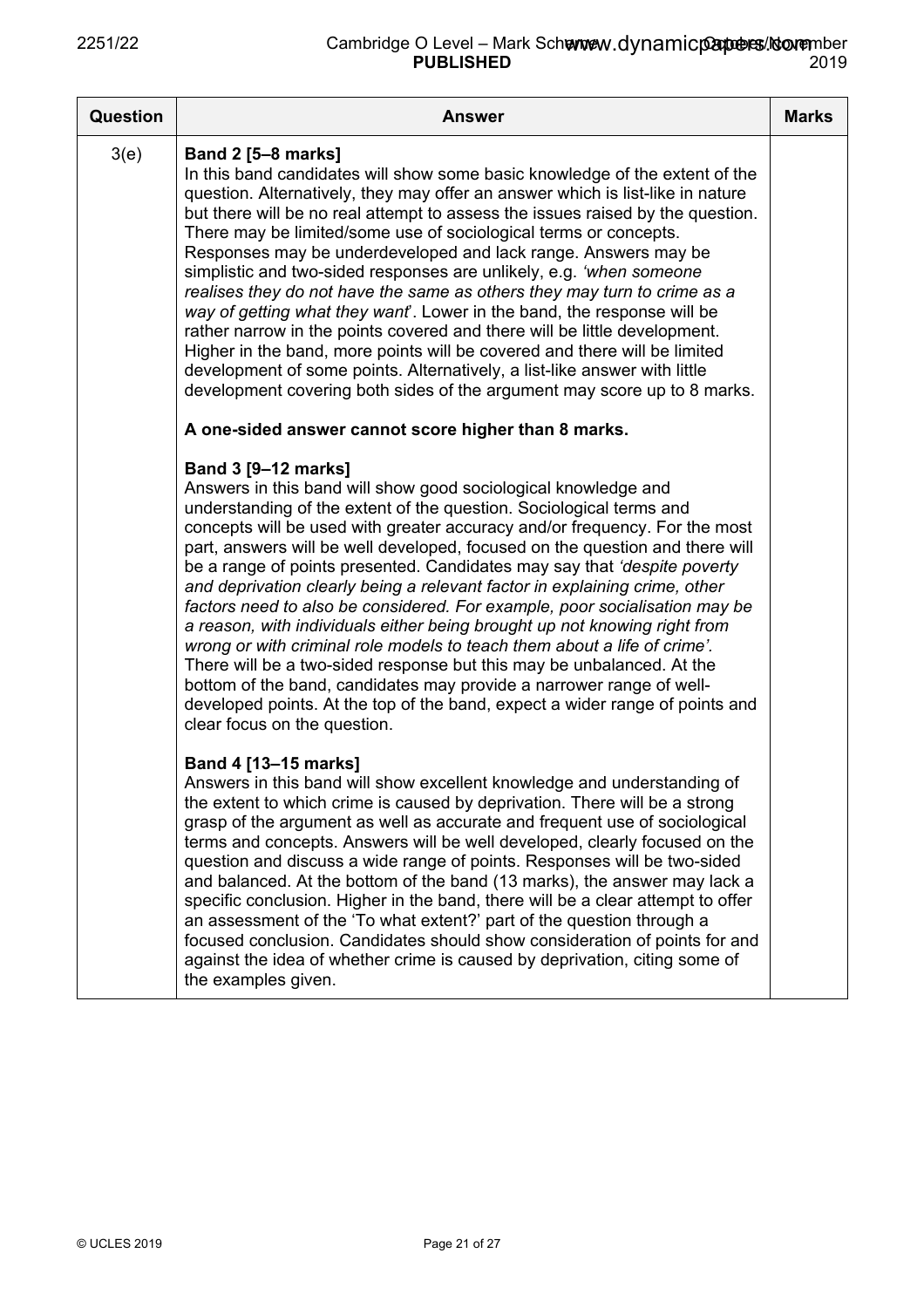| <b>Question</b> | <b>Answer</b>                                                                                                                                                                                                                                                                                                                                                                                                                                                                                                                                                                                                                                                                                                                                                                                                                                                                                                                                                                                       | <b>Marks</b> |
|-----------------|-----------------------------------------------------------------------------------------------------------------------------------------------------------------------------------------------------------------------------------------------------------------------------------------------------------------------------------------------------------------------------------------------------------------------------------------------------------------------------------------------------------------------------------------------------------------------------------------------------------------------------------------------------------------------------------------------------------------------------------------------------------------------------------------------------------------------------------------------------------------------------------------------------------------------------------------------------------------------------------------------------|--------------|
| 3(e)            | <b>Band 2 [5-8 marks]</b><br>In this band candidates will show some basic knowledge of the extent of the<br>question. Alternatively, they may offer an answer which is list-like in nature<br>but there will be no real attempt to assess the issues raised by the question.<br>There may be limited/some use of sociological terms or concepts.<br>Responses may be underdeveloped and lack range. Answers may be<br>simplistic and two-sided responses are unlikely, e.g. 'when someone<br>realises they do not have the same as others they may turn to crime as a<br>way of getting what they want. Lower in the band, the response will be<br>rather narrow in the points covered and there will be little development.<br>Higher in the band, more points will be covered and there will be limited<br>development of some points. Alternatively, a list-like answer with little<br>development covering both sides of the argument may score up to 8 marks.                                  |              |
|                 | A one-sided answer cannot score higher than 8 marks.                                                                                                                                                                                                                                                                                                                                                                                                                                                                                                                                                                                                                                                                                                                                                                                                                                                                                                                                                |              |
|                 | <b>Band 3 [9-12 marks]</b><br>Answers in this band will show good sociological knowledge and<br>understanding of the extent of the question. Sociological terms and<br>concepts will be used with greater accuracy and/or frequency. For the most<br>part, answers will be well developed, focused on the question and there will<br>be a range of points presented. Candidates may say that 'despite poverty<br>and deprivation clearly being a relevant factor in explaining crime, other<br>factors need to also be considered. For example, poor socialisation may be<br>a reason, with individuals either being brought up not knowing right from<br>wrong or with criminal role models to teach them about a life of crime'.<br>There will be a two-sided response but this may be unbalanced. At the<br>bottom of the band, candidates may provide a narrower range of well-<br>developed points. At the top of the band, expect a wider range of points and<br>clear focus on the question. |              |
|                 | Band 4 [13-15 marks]<br>Answers in this band will show excellent knowledge and understanding of<br>the extent to which crime is caused by deprivation. There will be a strong<br>grasp of the argument as well as accurate and frequent use of sociological<br>terms and concepts. Answers will be well developed, clearly focused on the<br>question and discuss a wide range of points. Responses will be two-sided<br>and balanced. At the bottom of the band (13 marks), the answer may lack a<br>specific conclusion. Higher in the band, there will be a clear attempt to offer<br>an assessment of the 'To what extent?' part of the question through a<br>focused conclusion. Candidates should show consideration of points for and<br>against the idea of whether crime is caused by deprivation, citing some of<br>the examples given.                                                                                                                                                   |              |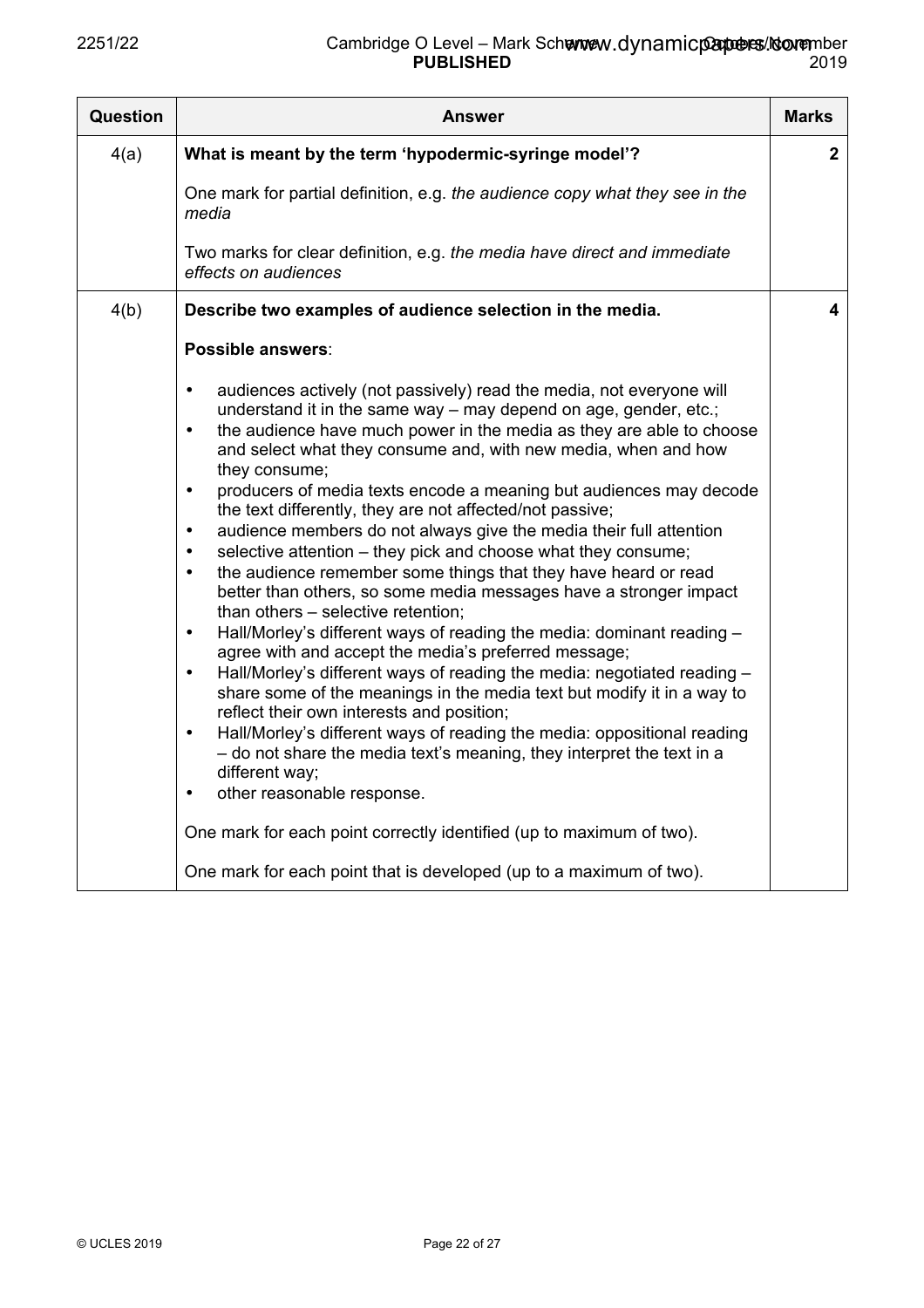| <b>Question</b> | <b>Answer</b>                                                                                                                                                                                                                                                                                                                                                                                                                                                                                                                                                                                                                                                                                                                                                                                                                                                                                                                                                                                                                                                                                                                                                                                                                                                                                                                                                                                                                                                                                                                                           | <b>Marks</b> |
|-----------------|---------------------------------------------------------------------------------------------------------------------------------------------------------------------------------------------------------------------------------------------------------------------------------------------------------------------------------------------------------------------------------------------------------------------------------------------------------------------------------------------------------------------------------------------------------------------------------------------------------------------------------------------------------------------------------------------------------------------------------------------------------------------------------------------------------------------------------------------------------------------------------------------------------------------------------------------------------------------------------------------------------------------------------------------------------------------------------------------------------------------------------------------------------------------------------------------------------------------------------------------------------------------------------------------------------------------------------------------------------------------------------------------------------------------------------------------------------------------------------------------------------------------------------------------------------|--------------|
| 4(a)            | What is meant by the term 'hypodermic-syringe model'?                                                                                                                                                                                                                                                                                                                                                                                                                                                                                                                                                                                                                                                                                                                                                                                                                                                                                                                                                                                                                                                                                                                                                                                                                                                                                                                                                                                                                                                                                                   | $\mathbf{2}$ |
|                 | One mark for partial definition, e.g. the audience copy what they see in the<br>media                                                                                                                                                                                                                                                                                                                                                                                                                                                                                                                                                                                                                                                                                                                                                                                                                                                                                                                                                                                                                                                                                                                                                                                                                                                                                                                                                                                                                                                                   |              |
|                 | Two marks for clear definition, e.g. the media have direct and immediate<br>effects on audiences                                                                                                                                                                                                                                                                                                                                                                                                                                                                                                                                                                                                                                                                                                                                                                                                                                                                                                                                                                                                                                                                                                                                                                                                                                                                                                                                                                                                                                                        |              |
| 4(b)            | Describe two examples of audience selection in the media.                                                                                                                                                                                                                                                                                                                                                                                                                                                                                                                                                                                                                                                                                                                                                                                                                                                                                                                                                                                                                                                                                                                                                                                                                                                                                                                                                                                                                                                                                               | 4            |
|                 | Possible answers:                                                                                                                                                                                                                                                                                                                                                                                                                                                                                                                                                                                                                                                                                                                                                                                                                                                                                                                                                                                                                                                                                                                                                                                                                                                                                                                                                                                                                                                                                                                                       |              |
|                 | audiences actively (not passively) read the media, not everyone will<br>$\bullet$<br>understand it in the same way – may depend on age, gender, etc.;<br>the audience have much power in the media as they are able to choose<br>$\bullet$<br>and select what they consume and, with new media, when and how<br>they consume;<br>producers of media texts encode a meaning but audiences may decode<br>$\bullet$<br>the text differently, they are not affected/not passive;<br>audience members do not always give the media their full attention<br>selective attention – they pick and choose what they consume;<br>the audience remember some things that they have heard or read<br>$\bullet$<br>better than others, so some media messages have a stronger impact<br>than others - selective retention;<br>Hall/Morley's different ways of reading the media: dominant reading -<br>$\bullet$<br>agree with and accept the media's preferred message;<br>Hall/Morley's different ways of reading the media: negotiated reading -<br>$\bullet$<br>share some of the meanings in the media text but modify it in a way to<br>reflect their own interests and position;<br>Hall/Morley's different ways of reading the media: oppositional reading<br>$\bullet$<br>- do not share the media text's meaning, they interpret the text in a<br>different way;<br>other reasonable response.<br>$\bullet$<br>One mark for each point correctly identified (up to maximum of two).<br>One mark for each point that is developed (up to a maximum of two). |              |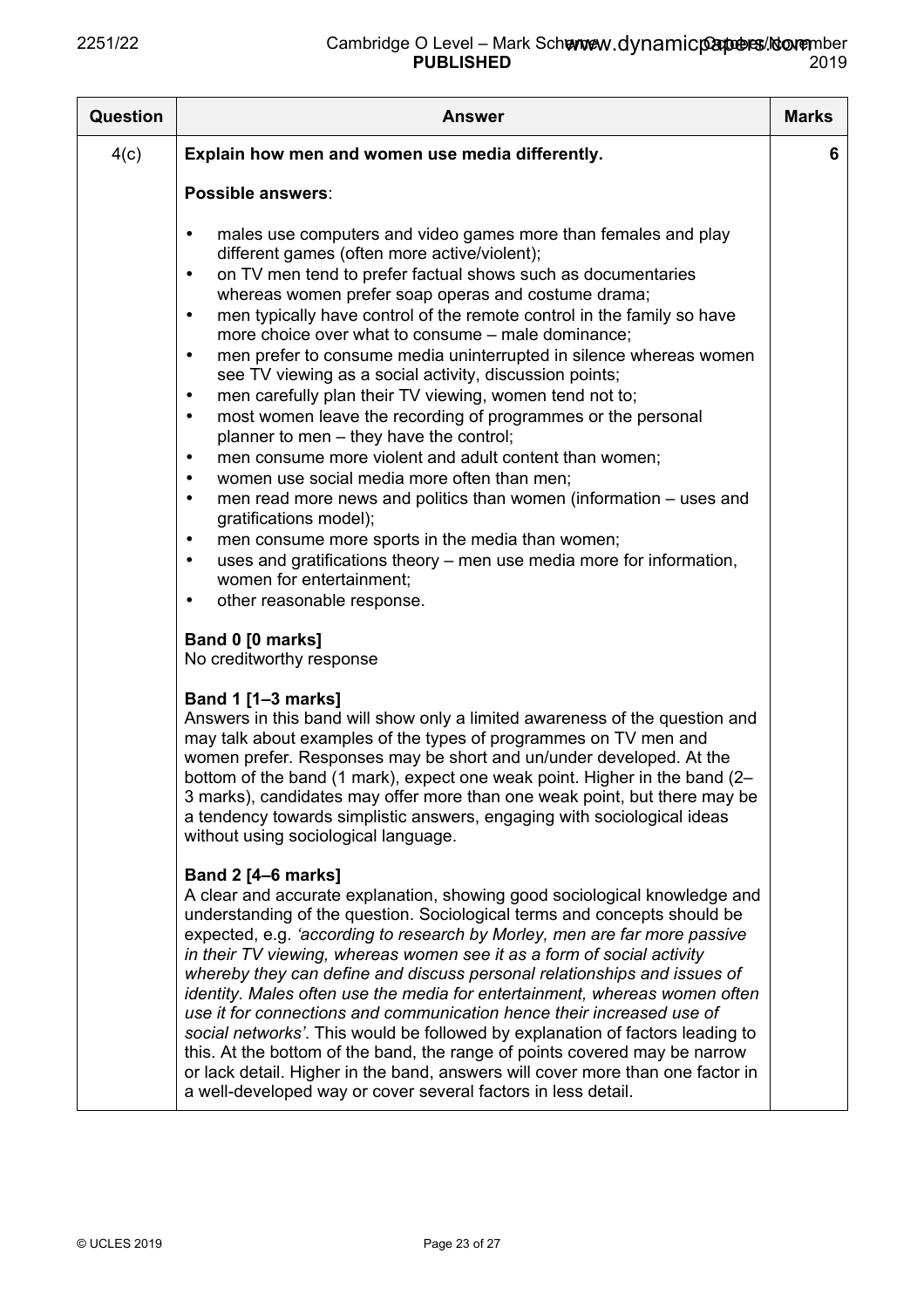| Question | <b>Answer</b>                                                                                                                                                                                                                                                                                                                                                                                                                                                                                                                                                                                                                                                                                                                                                                                                                                                                                                                                                                                                                                                                                                                                                                                                                   | <b>Marks</b> |
|----------|---------------------------------------------------------------------------------------------------------------------------------------------------------------------------------------------------------------------------------------------------------------------------------------------------------------------------------------------------------------------------------------------------------------------------------------------------------------------------------------------------------------------------------------------------------------------------------------------------------------------------------------------------------------------------------------------------------------------------------------------------------------------------------------------------------------------------------------------------------------------------------------------------------------------------------------------------------------------------------------------------------------------------------------------------------------------------------------------------------------------------------------------------------------------------------------------------------------------------------|--------------|
| 4(c)     | Explain how men and women use media differently.                                                                                                                                                                                                                                                                                                                                                                                                                                                                                                                                                                                                                                                                                                                                                                                                                                                                                                                                                                                                                                                                                                                                                                                | 6            |
|          | Possible answers:                                                                                                                                                                                                                                                                                                                                                                                                                                                                                                                                                                                                                                                                                                                                                                                                                                                                                                                                                                                                                                                                                                                                                                                                               |              |
|          | males use computers and video games more than females and play<br>$\bullet$<br>different games (often more active/violent);<br>on TV men tend to prefer factual shows such as documentaries<br>$\bullet$<br>whereas women prefer soap operas and costume drama;<br>men typically have control of the remote control in the family so have<br>$\bullet$<br>more choice over what to consume – male dominance;<br>men prefer to consume media uninterrupted in silence whereas women<br>$\bullet$<br>see TV viewing as a social activity, discussion points;<br>men carefully plan their TV viewing, women tend not to;<br>$\bullet$<br>most women leave the recording of programmes or the personal<br>$\bullet$<br>planner to men - they have the control;<br>men consume more violent and adult content than women;<br>$\bullet$<br>women use social media more often than men;<br>$\bullet$<br>men read more news and politics than women (information – uses and<br>$\bullet$<br>gratifications model);<br>men consume more sports in the media than women;<br>$\bullet$<br>uses and gratifications theory - men use media more for information,<br>$\bullet$<br>women for entertainment;<br>other reasonable response.<br>٠ |              |
|          | Band 0 [0 marks]<br>No creditworthy response                                                                                                                                                                                                                                                                                                                                                                                                                                                                                                                                                                                                                                                                                                                                                                                                                                                                                                                                                                                                                                                                                                                                                                                    |              |
|          | Band 1 [1-3 marks]<br>Answers in this band will show only a limited awareness of the question and<br>may talk about examples of the types of programmes on TV men and<br>women prefer. Responses may be short and un/under developed. At the<br>bottom of the band (1 mark), expect one weak point. Higher in the band (2-<br>3 marks), candidates may offer more than one weak point, but there may be<br>a tendency towards simplistic answers, engaging with sociological ideas<br>without using sociological language.                                                                                                                                                                                                                                                                                                                                                                                                                                                                                                                                                                                                                                                                                                      |              |
|          | <b>Band 2 [4-6 marks]</b><br>A clear and accurate explanation, showing good sociological knowledge and<br>understanding of the question. Sociological terms and concepts should be<br>expected, e.g. 'according to research by Morley, men are far more passive<br>in their TV viewing, whereas women see it as a form of social activity<br>whereby they can define and discuss personal relationships and issues of<br>identity. Males often use the media for entertainment, whereas women often<br>use it for connections and communication hence their increased use of<br>social networks'. This would be followed by explanation of factors leading to<br>this. At the bottom of the band, the range of points covered may be narrow<br>or lack detail. Higher in the band, answers will cover more than one factor in<br>a well-developed way or cover several factors in less detail.                                                                                                                                                                                                                                                                                                                                  |              |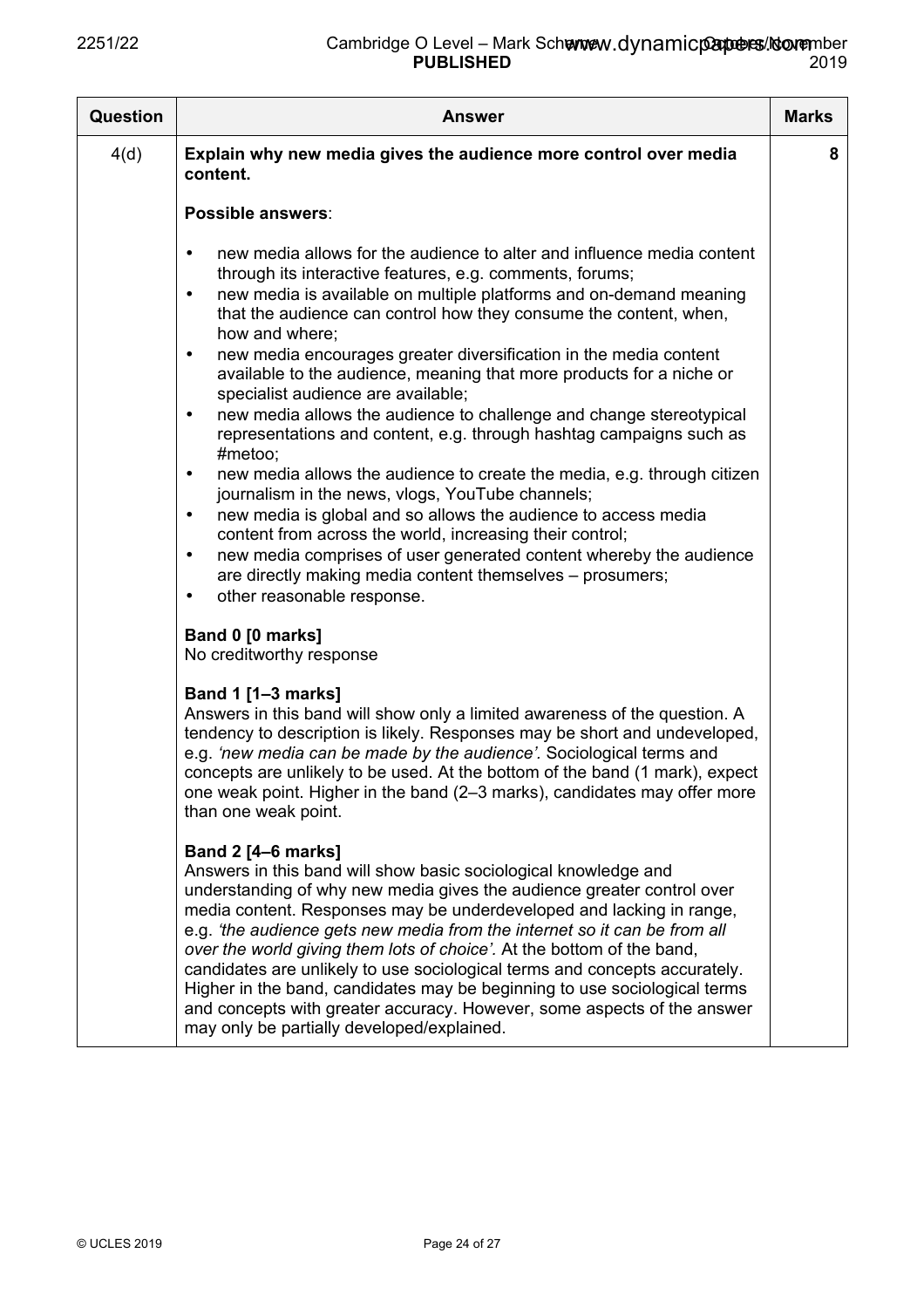| <b>Question</b> | <b>Answer</b>                                                                                                                                                                                                                                                                                                                                                                                                                                                                                                                                                                                                                                                                                                                                                                                                                                                                                                                                                                                                                                                                                                                                                                                   | <b>Marks</b> |
|-----------------|-------------------------------------------------------------------------------------------------------------------------------------------------------------------------------------------------------------------------------------------------------------------------------------------------------------------------------------------------------------------------------------------------------------------------------------------------------------------------------------------------------------------------------------------------------------------------------------------------------------------------------------------------------------------------------------------------------------------------------------------------------------------------------------------------------------------------------------------------------------------------------------------------------------------------------------------------------------------------------------------------------------------------------------------------------------------------------------------------------------------------------------------------------------------------------------------------|--------------|
| 4(d)            | Explain why new media gives the audience more control over media<br>content.                                                                                                                                                                                                                                                                                                                                                                                                                                                                                                                                                                                                                                                                                                                                                                                                                                                                                                                                                                                                                                                                                                                    | 8            |
|                 | Possible answers:                                                                                                                                                                                                                                                                                                                                                                                                                                                                                                                                                                                                                                                                                                                                                                                                                                                                                                                                                                                                                                                                                                                                                                               |              |
|                 | new media allows for the audience to alter and influence media content<br>٠<br>through its interactive features, e.g. comments, forums;<br>new media is available on multiple platforms and on-demand meaning<br>$\bullet$<br>that the audience can control how they consume the content, when,<br>how and where;<br>new media encourages greater diversification in the media content<br>$\bullet$<br>available to the audience, meaning that more products for a niche or<br>specialist audience are available;<br>new media allows the audience to challenge and change stereotypical<br>$\bullet$<br>representations and content, e.g. through hashtag campaigns such as<br>#metoo;<br>new media allows the audience to create the media, e.g. through citizen<br>٠<br>journalism in the news, vlogs, YouTube channels;<br>new media is global and so allows the audience to access media<br>$\bullet$<br>content from across the world, increasing their control;<br>new media comprises of user generated content whereby the audience<br>$\bullet$<br>are directly making media content themselves - prosumers;<br>other reasonable response.<br>$\bullet$                               |              |
|                 | Band 0 [0 marks]<br>No creditworthy response<br><b>Band 1 [1-3 marks]</b><br>Answers in this band will show only a limited awareness of the question. A<br>tendency to description is likely. Responses may be short and undeveloped,<br>e.g. 'new media can be made by the audience'. Sociological terms and<br>concepts are unlikely to be used. At the bottom of the band (1 mark), expect<br>one weak point. Higher in the band (2-3 marks), candidates may offer more<br>than one weak point.<br><b>Band 2 [4-6 marks]</b><br>Answers in this band will show basic sociological knowledge and<br>understanding of why new media gives the audience greater control over<br>media content. Responses may be underdeveloped and lacking in range,<br>e.g. 'the audience gets new media from the internet so it can be from all<br>over the world giving them lots of choice'. At the bottom of the band,<br>candidates are unlikely to use sociological terms and concepts accurately.<br>Higher in the band, candidates may be beginning to use sociological terms<br>and concepts with greater accuracy. However, some aspects of the answer<br>may only be partially developed/explained. |              |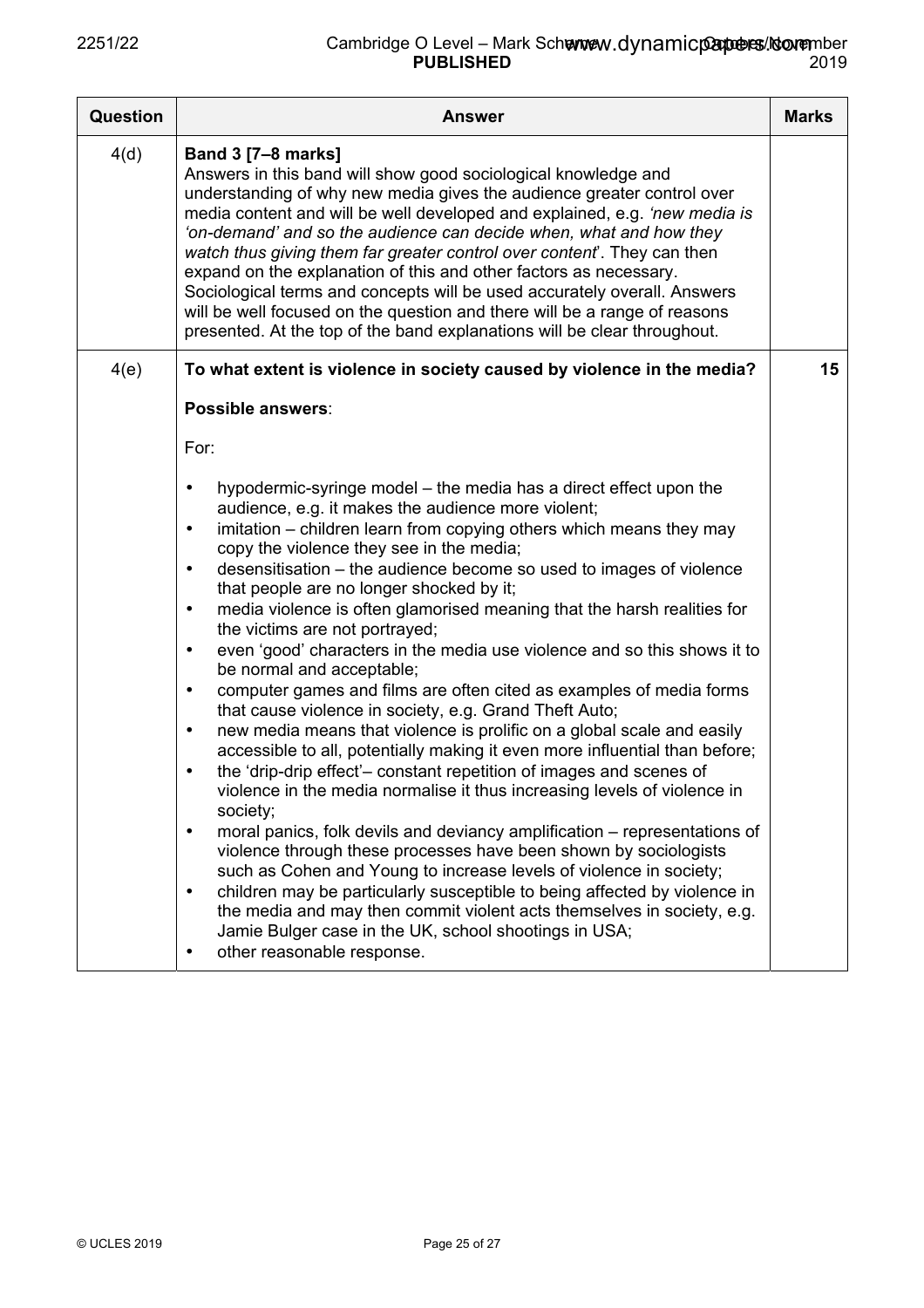| <b>Question</b> | <b>Answer</b>                                                                                                                                                                                                                                                                                                                                                                                                                                                                                                                                                                                                                                                                                                                                                                                                                                                                                                                                                                                                                                                                                                                                                                                                                                                                                                                                                                                 | <b>Marks</b> |
|-----------------|-----------------------------------------------------------------------------------------------------------------------------------------------------------------------------------------------------------------------------------------------------------------------------------------------------------------------------------------------------------------------------------------------------------------------------------------------------------------------------------------------------------------------------------------------------------------------------------------------------------------------------------------------------------------------------------------------------------------------------------------------------------------------------------------------------------------------------------------------------------------------------------------------------------------------------------------------------------------------------------------------------------------------------------------------------------------------------------------------------------------------------------------------------------------------------------------------------------------------------------------------------------------------------------------------------------------------------------------------------------------------------------------------|--------------|
| 4(d)            | <b>Band 3 [7-8 marks]</b><br>Answers in this band will show good sociological knowledge and<br>understanding of why new media gives the audience greater control over<br>media content and will be well developed and explained, e.g. 'new media is<br>'on-demand' and so the audience can decide when, what and how they<br>watch thus giving them far greater control over content. They can then<br>expand on the explanation of this and other factors as necessary.<br>Sociological terms and concepts will be used accurately overall. Answers<br>will be well focused on the question and there will be a range of reasons<br>presented. At the top of the band explanations will be clear throughout.                                                                                                                                                                                                                                                                                                                                                                                                                                                                                                                                                                                                                                                                                 |              |
| 4(e)            | To what extent is violence in society caused by violence in the media?                                                                                                                                                                                                                                                                                                                                                                                                                                                                                                                                                                                                                                                                                                                                                                                                                                                                                                                                                                                                                                                                                                                                                                                                                                                                                                                        | 15           |
|                 | Possible answers:<br>For:<br>hypodermic-syringe model - the media has a direct effect upon the<br>$\bullet$<br>audience, e.g. it makes the audience more violent;<br>imitation - children learn from copying others which means they may<br>$\bullet$<br>copy the violence they see in the media;<br>desensitisation – the audience become so used to images of violence<br>$\bullet$<br>that people are no longer shocked by it;<br>media violence is often glamorised meaning that the harsh realities for<br>٠<br>the victims are not portrayed;<br>even 'good' characters in the media use violence and so this shows it to<br>$\bullet$<br>be normal and acceptable;<br>computer games and films are often cited as examples of media forms<br>$\bullet$<br>that cause violence in society, e.g. Grand Theft Auto;<br>new media means that violence is prolific on a global scale and easily<br>$\bullet$<br>accessible to all, potentially making it even more influential than before;<br>the 'drip-drip effect'- constant repetition of images and scenes of<br>٠<br>violence in the media normalise it thus increasing levels of violence in<br>society;<br>moral panics, folk devils and deviancy amplification - representations of<br>٠<br>violence through these processes have been shown by sociologists<br>such as Cohen and Young to increase levels of violence in society; |              |
|                 | children may be particularly susceptible to being affected by violence in<br>٠<br>the media and may then commit violent acts themselves in society, e.g.<br>Jamie Bulger case in the UK, school shootings in USA;<br>other reasonable response.<br>٠                                                                                                                                                                                                                                                                                                                                                                                                                                                                                                                                                                                                                                                                                                                                                                                                                                                                                                                                                                                                                                                                                                                                          |              |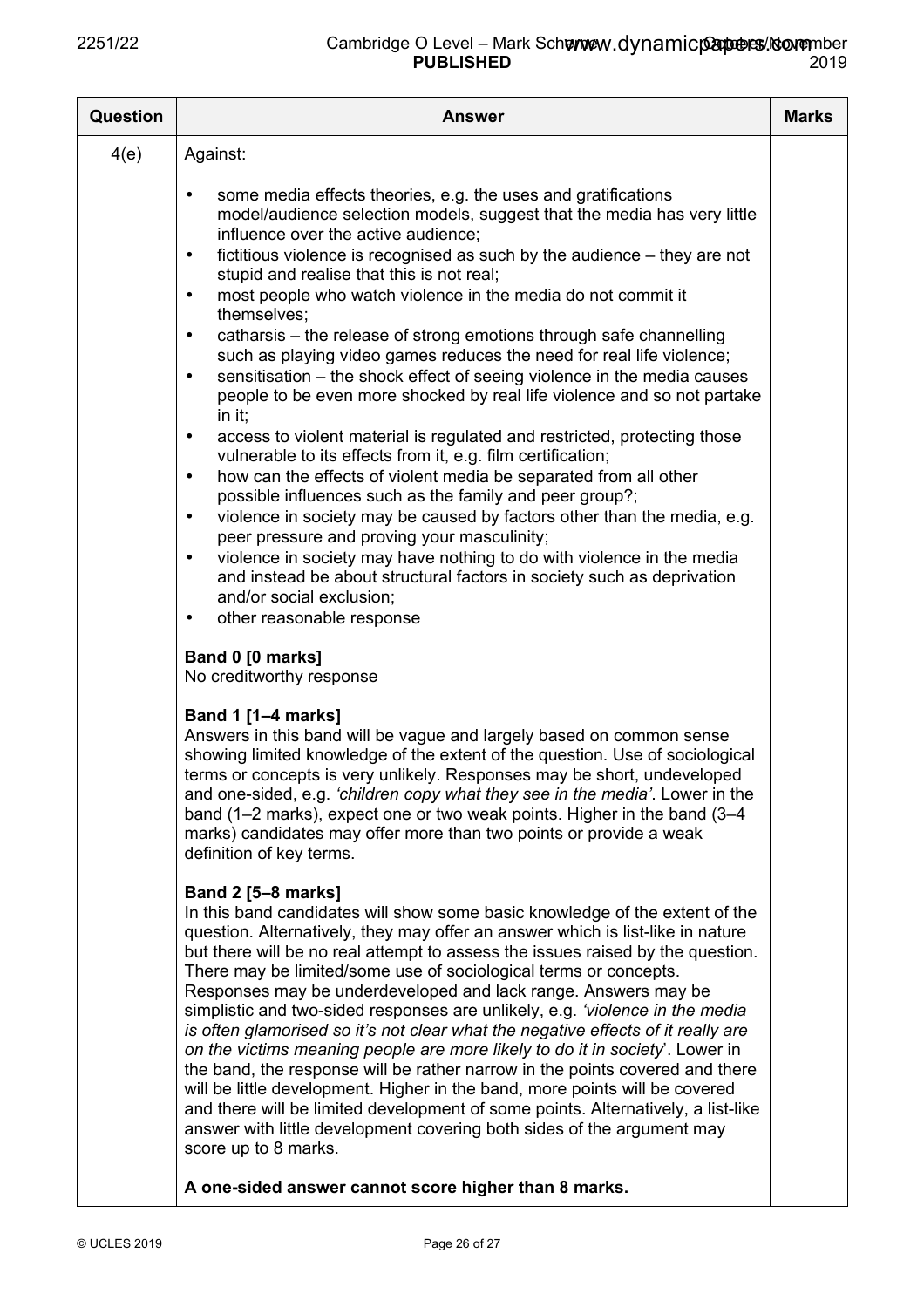| <b>Question</b> | <b>Answer</b>                                                                                                                                                                                                                                                                                                                                                                                                                                                                                                                                                                                                                                                                                                                                                                                                                                                                                                                                                                                                                                                                                                                                                                                                                                                                                                                                                                                                                                                                                            | <b>Marks</b> |
|-----------------|----------------------------------------------------------------------------------------------------------------------------------------------------------------------------------------------------------------------------------------------------------------------------------------------------------------------------------------------------------------------------------------------------------------------------------------------------------------------------------------------------------------------------------------------------------------------------------------------------------------------------------------------------------------------------------------------------------------------------------------------------------------------------------------------------------------------------------------------------------------------------------------------------------------------------------------------------------------------------------------------------------------------------------------------------------------------------------------------------------------------------------------------------------------------------------------------------------------------------------------------------------------------------------------------------------------------------------------------------------------------------------------------------------------------------------------------------------------------------------------------------------|--------------|
| 4(e)            | Against:                                                                                                                                                                                                                                                                                                                                                                                                                                                                                                                                                                                                                                                                                                                                                                                                                                                                                                                                                                                                                                                                                                                                                                                                                                                                                                                                                                                                                                                                                                 |              |
|                 | some media effects theories, e.g. the uses and gratifications<br>$\bullet$<br>model/audience selection models, suggest that the media has very little<br>influence over the active audience;<br>fictitious violence is recognised as such by the audience - they are not<br>$\bullet$<br>stupid and realise that this is not real;<br>most people who watch violence in the media do not commit it<br>$\bullet$<br>themselves;<br>catharsis – the release of strong emotions through safe channelling<br>$\bullet$<br>such as playing video games reduces the need for real life violence;<br>sensitisation – the shock effect of seeing violence in the media causes<br>$\bullet$<br>people to be even more shocked by real life violence and so not partake<br>in it;<br>access to violent material is regulated and restricted, protecting those<br>$\bullet$<br>vulnerable to its effects from it, e.g. film certification;<br>how can the effects of violent media be separated from all other<br>$\bullet$<br>possible influences such as the family and peer group?;<br>violence in society may be caused by factors other than the media, e.g.<br>$\bullet$<br>peer pressure and proving your masculinity;<br>violence in society may have nothing to do with violence in the media<br>$\bullet$<br>and instead be about structural factors in society such as deprivation<br>and/or social exclusion;<br>other reasonable response<br>$\bullet$<br>Band 0 [0 marks]<br>No creditworthy response |              |
|                 | <b>Band 1 [1-4 marks]</b><br>Answers in this band will be vague and largely based on common sense<br>showing limited knowledge of the extent of the question. Use of sociological<br>terms or concepts is very unlikely. Responses may be short, undeveloped<br>and one-sided, e.g. 'children copy what they see in the media'. Lower in the<br>band (1–2 marks), expect one or two weak points. Higher in the band (3–4<br>marks) candidates may offer more than two points or provide a weak<br>definition of key terms.                                                                                                                                                                                                                                                                                                                                                                                                                                                                                                                                                                                                                                                                                                                                                                                                                                                                                                                                                                               |              |
|                 | <b>Band 2 [5-8 marks]</b><br>In this band candidates will show some basic knowledge of the extent of the<br>question. Alternatively, they may offer an answer which is list-like in nature<br>but there will be no real attempt to assess the issues raised by the question.<br>There may be limited/some use of sociological terms or concepts.<br>Responses may be underdeveloped and lack range. Answers may be<br>simplistic and two-sided responses are unlikely, e.g. <i>'violence in the media</i><br>is often glamorised so it's not clear what the negative effects of it really are<br>on the victims meaning people are more likely to do it in society'. Lower in<br>the band, the response will be rather narrow in the points covered and there<br>will be little development. Higher in the band, more points will be covered<br>and there will be limited development of some points. Alternatively, a list-like<br>answer with little development covering both sides of the argument may<br>score up to 8 marks.                                                                                                                                                                                                                                                                                                                                                                                                                                                                       |              |
|                 | A one-sided answer cannot score higher than 8 marks.                                                                                                                                                                                                                                                                                                                                                                                                                                                                                                                                                                                                                                                                                                                                                                                                                                                                                                                                                                                                                                                                                                                                                                                                                                                                                                                                                                                                                                                     |              |